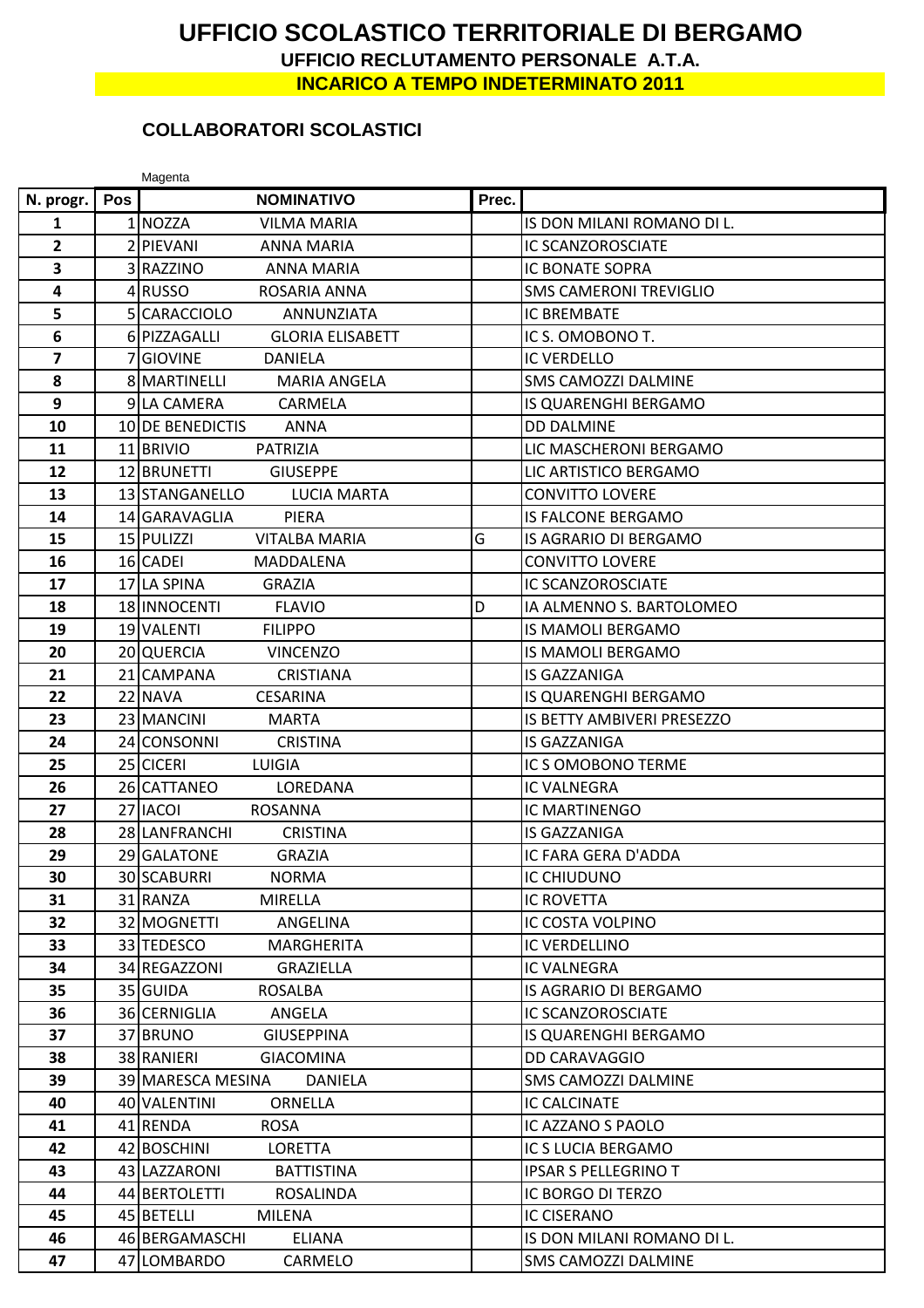## **UFFICIO SCOLASTICO TERRITORIALE DI BERGAMO UFFICIO RECLUTAMENTO PERSONALE A.T.A.**

**INCARICO A TEMPO INDETERMINATO 2011**

## **COLLABORATORI SCOLASTICI**

|                         |     | Magenta                                 |       |                               |
|-------------------------|-----|-----------------------------------------|-------|-------------------------------|
| N. progr.               | Pos | <b>NOMINATIVO</b>                       | Prec. |                               |
| 1                       |     | 1 NOZZA<br><b>VILMA MARIA</b>           |       | IS DON MILANI ROMANO DI L.    |
| $\mathbf{2}$            |     | 2 PIEVANI<br><b>ANNA MARIA</b>          |       | <b>IC SCANZOROSCIATE</b>      |
| 3                       |     | 3 RAZZINO<br><b>ANNA MARIA</b>          |       | <b>IC BONATE SOPRA</b>        |
| 4                       |     | 4RUSSO<br>ROSARIA ANNA                  |       | <b>SMS CAMERONI TREVIGLIO</b> |
| 5                       |     | 5 CARACCIOLO<br><b>ANNUNZIATA</b>       |       | <b>IC BREMBATE</b>            |
| $6\phantom{1}$          |     | 6 PIZZAGALLI<br><b>GLORIA ELISABETT</b> |       | IC S. OMOBONO T.              |
| $\overline{\mathbf{z}}$ |     | 7 GIOVINE<br><b>DANIELA</b>             |       | <b>IC VERDELLO</b>            |
| 8                       |     | 8 MARTINELLI<br><b>MARIA ANGELA</b>     |       | <b>SMS CAMOZZI DALMINE</b>    |
| 9                       |     | 9 LA CAMERA<br>CARMELA                  |       | IS QUARENGHI BERGAMO          |
| 10                      |     | 10 DE BENEDICTIS<br><b>ANNA</b>         |       | <b>DD DALMINE</b>             |
| 11                      |     | 11 BRIVIO<br>PATRIZIA                   |       | LIC MASCHERONI BERGAMO        |
| 12                      |     | 12 BRUNETTI<br><b>GIUSEPPE</b>          |       | LIC ARTISTICO BERGAMO         |
| 13                      |     | 13 STANGANELLO<br><b>LUCIA MARTA</b>    |       | <b>CONVITTO LOVERE</b>        |
| 14                      |     | 14 GARAVAGLIA<br><b>PIERA</b>           |       | <b>IS FALCONE BERGAMO</b>     |
| 15                      |     | 15 PULIZZI<br><b>VITALBA MARIA</b>      | G     | IS AGRARIO DI BERGAMO         |
| 16                      |     | 16 CADEI<br>MADDALENA                   |       | <b>CONVITTO LOVERE</b>        |
| 17                      |     | 17 LA SPINA<br><b>GRAZIA</b>            |       | <b>IC SCANZOROSCIATE</b>      |
| 18                      |     | 18 INNOCENTI<br><b>FLAVIO</b>           | D     | IA ALMENNO S. BARTOLOMEO      |
| 19                      |     | 19 VALENTI<br><b>FILIPPO</b>            |       | <b>IS MAMOLI BERGAMO</b>      |
| 20                      |     | 20 QUERCIA<br><b>VINCENZO</b>           |       | <b>IS MAMOLI BERGAMO</b>      |
| 21                      |     | 21 CAMPANA<br><b>CRISTIANA</b>          |       | <b>IS GAZZANIGA</b>           |
| 22                      |     | 22 NAVA<br><b>CESARINA</b>              |       | IS QUARENGHI BERGAMO          |
| 23                      |     | 23 MANCINI<br><b>MARTA</b>              |       | IS BETTY AMBIVERI PRESEZZO    |
| 24                      |     | 24 CONSONNI<br><b>CRISTINA</b>          |       | <b>IS GAZZANIGA</b>           |
| 25                      |     | 25 CICERI<br>LUIGIA                     |       | IC S OMOBONO TERME            |
| 26                      |     | 26 CATTANEO<br>LOREDANA                 |       | <b>IC VALNEGRA</b>            |
| 27                      |     | 27 IACOL<br><b>ROSANNA</b>              |       | IC MARTINENGO                 |
| 28                      |     | 28 LANFRANCHI<br><b>CRISTINA</b>        |       | <b>IS GAZZANIGA</b>           |
| 29                      |     | 29 GALATONE<br><b>GRAZIA</b>            |       | <b>IC FARA GERA D'ADDA</b>    |
| 30                      |     | 30 SCABURRI<br><b>NORMA</b>             |       | <b>IC CHIUDUNO</b>            |
| 31                      |     | 31 RANZA<br><b>MIRELLA</b>              |       | IC ROVETTA                    |
| 32                      |     | 32 MOGNETTI<br>ANGELINA                 |       | IC COSTA VOLPINO              |
| 33                      |     | 33 TEDESCO<br><b>MARGHERITA</b>         |       | IC VERDELLINO                 |
| 34                      |     | 34 REGAZZONI<br><b>GRAZIELLA</b>        |       | IC VALNEGRA                   |
| 35                      |     | 35 GUIDA<br>ROSALBA                     |       | IS AGRARIO DI BERGAMO         |
| 36                      |     | 36 CERNIGLIA<br>ANGELA                  |       | <b>IC SCANZOROSCIATE</b>      |
| 37                      |     | 37 BRUNO<br><b>GIUSEPPINA</b>           |       | IS QUARENGHI BERGAMO          |
| 38                      |     | 38 RANIERI<br><b>GIACOMINA</b>          |       | DD CARAVAGGIO                 |
| 39                      |     | 39 MARESCA MESINA<br>DANIELA            |       | SMS CAMOZZI DALMINE           |
| 40                      |     | 40 VALENTINI<br><b>ORNELLA</b>          |       | <b>IC CALCINATE</b>           |
| 41                      |     | 41 RENDA<br>ROSA                        |       | IC AZZANO S PAOLO             |
| 42                      |     | 42 BOSCHINI<br><b>LORETTA</b>           |       | IC S LUCIA BERGAMO            |
| 43                      |     | 43 LAZZARONI<br><b>BATTISTINA</b>       |       | <b>IPSAR S PELLEGRINO T</b>   |
| 44                      |     | 44 BERTOLETTI<br>ROSALINDA              |       | IC BORGO DI TERZO             |
| 45                      |     | 45 BETELLI<br><b>MILENA</b>             |       | <b>IC CISERANO</b>            |
| 46                      |     | 46 BERGAMASCHI<br><b>ELIANA</b>         |       | IS DON MILANI ROMANO DI L.    |
| 47                      |     | 47 LOMBARDO<br>CARMELO                  |       | <b>SMS CAMOZZI DALMINE</b>    |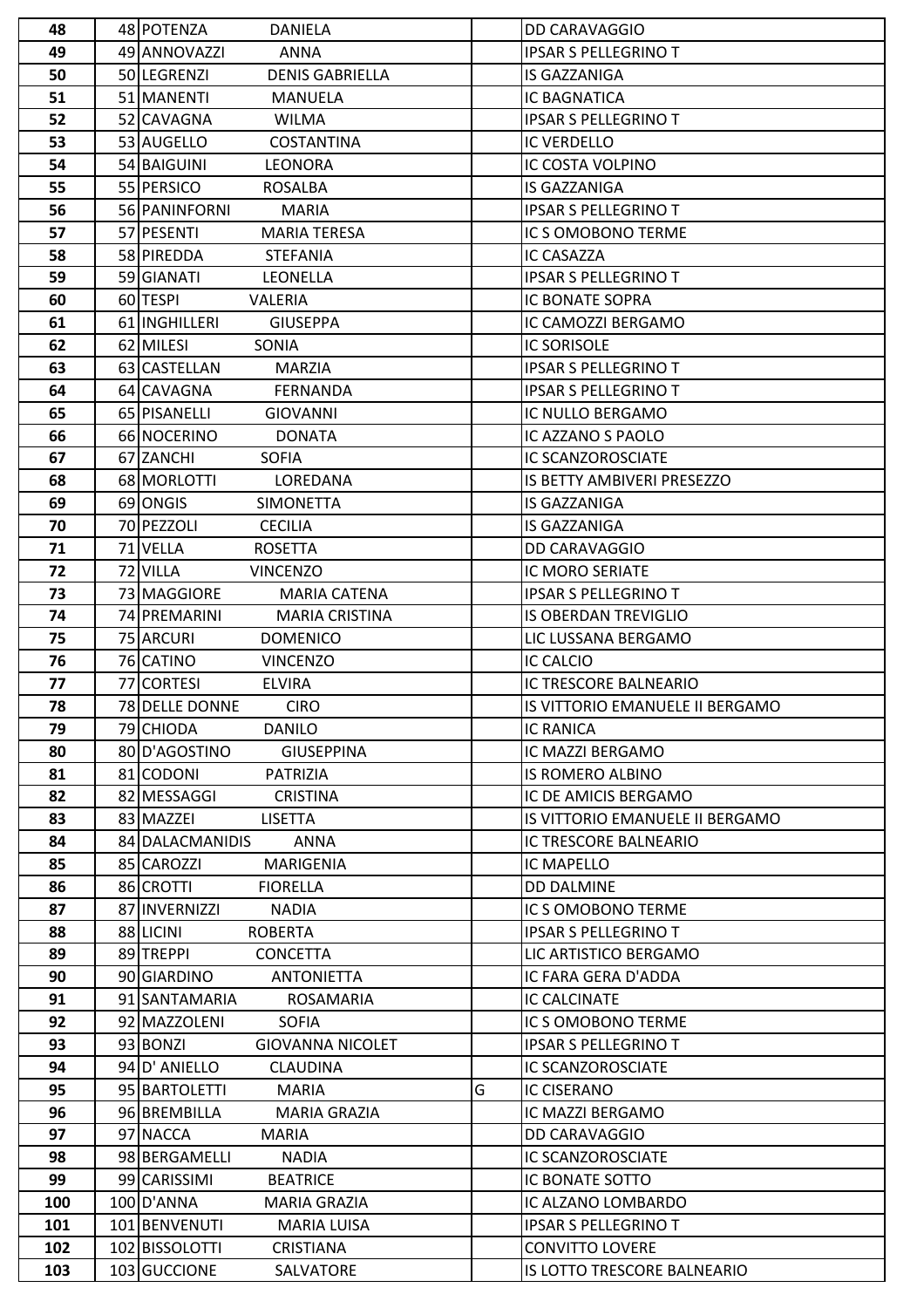| 48  | 48 POTENZA<br><b>DANIELA</b>          |   | <b>DD CARAVAGGIO</b>            |  |  |
|-----|---------------------------------------|---|---------------------------------|--|--|
| 49  | 49 ANNOVAZZI<br><b>ANNA</b>           |   | <b>IPSAR S PELLEGRINO T</b>     |  |  |
| 50  | 50 LEGRENZI<br><b>DENIS GABRIELLA</b> |   | IS GAZZANIGA                    |  |  |
| 51  | 51 MANENTI<br><b>MANUELA</b>          |   | <b>IC BAGNATICA</b>             |  |  |
| 52  | 52 CAVAGNA<br><b>WILMA</b>            |   | <b>IPSAR S PELLEGRINO T</b>     |  |  |
| 53  | 53 AUGELLO<br><b>COSTANTINA</b>       |   | <b>IC VERDELLO</b>              |  |  |
| 54  | 54 BAIGUINI<br><b>LEONORA</b>         |   | IC COSTA VOLPINO                |  |  |
| 55  | 55 PERSICO<br><b>ROSALBA</b>          |   | <b>IS GAZZANIGA</b>             |  |  |
| 56  | 56 PANINFORNI<br><b>MARIA</b>         |   | <b>IPSAR S PELLEGRINO T</b>     |  |  |
| 57  | 57 PESENTI<br><b>MARIA TERESA</b>     |   | IC S OMOBONO TERME              |  |  |
| 58  | 58 PIREDDA<br><b>STEFANIA</b>         |   | IC CASAZZA                      |  |  |
| 59  | 59 GIANATI<br><b>LEONELLA</b>         |   | <b>IPSAR S PELLEGRINO T</b>     |  |  |
| 60  | 60 TESPI<br>VALERIA                   |   | IC BONATE SOPRA                 |  |  |
| 61  | 61 INGHILLERI<br><b>GIUSEPPA</b>      |   | IC CAMOZZI BERGAMO              |  |  |
| 62  | 62 MILESI<br>SONIA                    |   | <b>IC SORISOLE</b>              |  |  |
| 63  | 63 CASTELLAN<br><b>MARZIA</b>         |   | <b>IPSAR S PELLEGRINO T</b>     |  |  |
| 64  | 64 CAVAGNA<br><b>FERNANDA</b>         |   | <b>IPSAR S PELLEGRINO T</b>     |  |  |
| 65  | 65 PISANELLI<br><b>GIOVANNI</b>       |   | IC NULLO BERGAMO                |  |  |
| 66  | 66 NOCERINO<br><b>DONATA</b>          |   | IC AZZANO S PAOLO               |  |  |
| 67  | 67 ZANCHI<br><b>SOFIA</b>             |   | IC SCANZOROSCIATE               |  |  |
| 68  | 68 MORLOTTI<br>LOREDANA               |   | IS BETTY AMBIVERI PRESEZZO      |  |  |
| 69  | 69 ONGIS<br><b>SIMONETTA</b>          |   | IS GAZZANIGA                    |  |  |
| 70  | 70 PEZZOLI<br><b>CECILIA</b>          |   | IS GAZZANIGA                    |  |  |
| 71  | 71 VELLA<br><b>ROSETTA</b>            |   | DD CARAVAGGIO                   |  |  |
| 72  | 72 VILLA<br><b>VINCENZO</b>           |   | IC MORO SERIATE                 |  |  |
| 73  | 73 MAGGIORE<br><b>MARIA CATENA</b>    |   | <b>IPSAR S PELLEGRINO T</b>     |  |  |
| 74  | 74 PREMARINI<br><b>MARIA CRISTINA</b> |   | <b>IS OBERDAN TREVIGLIO</b>     |  |  |
| 75  | 75 ARCURI<br><b>DOMENICO</b>          |   | LIC LUSSANA BERGAMO             |  |  |
| 76  | 76 CATINO<br><b>VINCENZO</b>          |   | <b>IC CALCIO</b>                |  |  |
| 77  | 77 CORTESI<br><b>ELVIRA</b>           |   | IC TRESCORE BALNEARIO           |  |  |
| 78  | 78 DELLE DONNE<br><b>CIRO</b>         |   | IS VITTORIO EMANUELE II BERGAMO |  |  |
| 79  | 79 CHIODA<br><b>DANILO</b>            |   | <b>IC RANICA</b>                |  |  |
| 80  | 80 D'AGOSTINO<br><b>GIUSEPPINA</b>    |   | IC MAZZI BERGAMO                |  |  |
| 81  | 81 CODONI<br><b>PATRIZIA</b>          |   | <b>IS ROMERO ALBINO</b>         |  |  |
| 82  | 82 MESSAGGI<br><b>CRISTINA</b>        |   | IC DE AMICIS BERGAMO            |  |  |
| 83  | 83 MAZZEI<br><b>LISETTA</b>           |   | IS VITTORIO EMANUELE II BERGAMO |  |  |
| 84  | 84 DALACMANIDIS<br>ANNA               |   | IC TRESCORE BALNEARIO           |  |  |
| 85  | 85 CAROZZI<br><b>MARIGENIA</b>        |   | <b>IC MAPELLO</b>               |  |  |
| 86  | 86 CROTTI<br><b>FIORELLA</b>          |   | <b>DD DALMINE</b>               |  |  |
| 87  | 87 INVERNIZZI<br><b>NADIA</b>         |   | IC S OMOBONO TERME              |  |  |
| 88  | 88 LICINI<br>ROBERTA                  |   | <b>IPSAR S PELLEGRINO T</b>     |  |  |
| 89  | 89 TREPPI<br><b>CONCETTA</b>          |   | LIC ARTISTICO BERGAMO           |  |  |
| 90  | 90 GIARDINO<br><b>ANTONIETTA</b>      |   | IC FARA GERA D'ADDA             |  |  |
| 91  | 91 SANTAMARIA<br>ROSAMARIA            |   | IC CALCINATE                    |  |  |
| 92  | 92 MAZZOLENI<br><b>SOFIA</b>          |   | IC S OMOBONO TERME              |  |  |
| 93  | 93 BONZI<br><b>GIOVANNA NICOLET</b>   |   | <b>IPSAR S PELLEGRINO T</b>     |  |  |
| 94  | 94 D' ANIELLO<br><b>CLAUDINA</b>      |   | IC SCANZOROSCIATE               |  |  |
| 95  | 95 BARTOLETTI<br><b>MARIA</b>         | G | <b>IC CISERANO</b>              |  |  |
| 96  | 96 BREMBILLA<br>MARIA GRAZIA          |   | IC MAZZI BERGAMO                |  |  |
| 97  | 97 NACCA<br><b>MARIA</b>              |   | <b>DD CARAVAGGIO</b>            |  |  |
| 98  | 98 BERGAMELLI<br><b>NADIA</b>         |   | IC SCANZOROSCIATE               |  |  |
| 99  | 99 CARISSIMI<br><b>BEATRICE</b>       |   | IC BONATE SOTTO                 |  |  |
|     |                                       |   |                                 |  |  |
| 100 | 100 D'ANNA<br><b>MARIA GRAZIA</b>     |   | IC ALZANO LOMBARDO              |  |  |
| 101 | 101 BENVENUTI<br><b>MARIA LUISA</b>   |   | <b>IPSAR S PELLEGRINO T</b>     |  |  |
| 102 | 102 BISSOLOTTI<br><b>CRISTIANA</b>    |   | <b>CONVITTO LOVERE</b>          |  |  |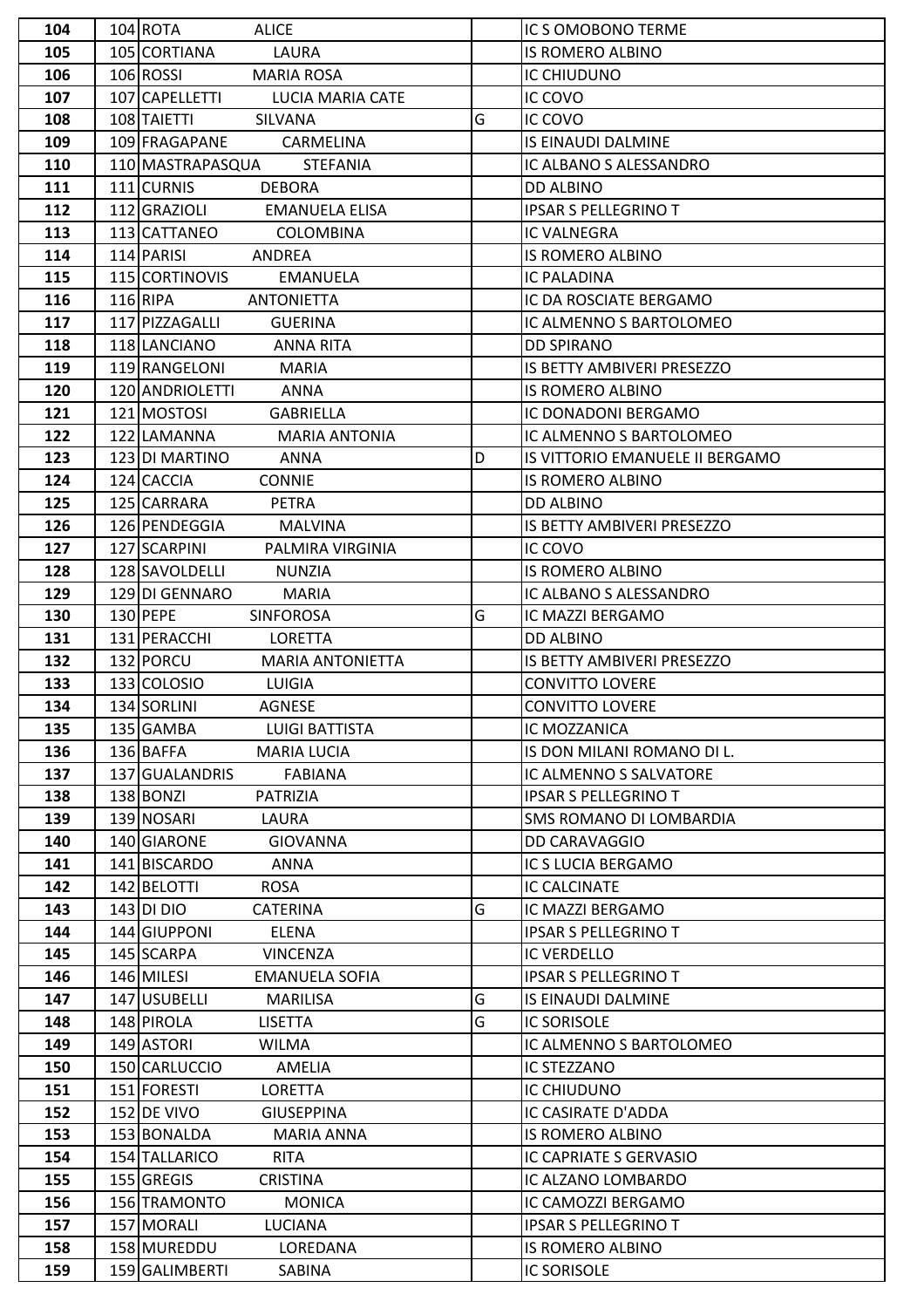| 104 | 104 ROTA<br><b>ALICE</b>              |   | IC S OMOBONO TERME                |
|-----|---------------------------------------|---|-----------------------------------|
| 105 | 105 CORTIANA<br>LAURA                 |   | IS ROMERO ALBINO                  |
| 106 | 106 ROSSI<br><b>MARIA ROSA</b>        |   | IC CHIUDUNO                       |
| 107 | 107 CAPELLETTI<br>LUCIA MARIA CATE    |   | IC COVO                           |
| 108 | 108 TAIETTI<br><b>SILVANA</b>         | G | IC COVO                           |
| 109 | 109 FRAGAPANE<br>CARMELINA            |   | IS EINAUDI DALMINE                |
| 110 | 110 MASTRAPASQUA<br><b>STEFANIA</b>   |   | IC ALBANO S ALESSANDRO            |
| 111 | 111 CURNIS<br><b>DEBORA</b>           |   | <b>DD ALBINO</b>                  |
| 112 | 112 GRAZIOLI<br><b>EMANUELA ELISA</b> |   | <b>IPSAR S PELLEGRINO T</b>       |
| 113 | 113 CATTANEO<br><b>COLOMBINA</b>      |   | IC VALNEGRA                       |
| 114 | 114 PARISI<br>ANDREA                  |   | <b>IS ROMERO ALBINO</b>           |
| 115 | 115 CORTINOVIS<br><b>EMANUELA</b>     |   | <b>IC PALADINA</b>                |
| 116 | $116$ RIPA<br><b>ANTONIETTA</b>       |   | IC DA ROSCIATE BERGAMO            |
| 117 | 117 PIZZAGALLI<br><b>GUERINA</b>      |   | IC ALMENNO S BARTOLOMEO           |
| 118 | 118 LANCIANO<br><b>ANNA RITA</b>      |   | <b>DD SPIRANO</b>                 |
| 119 | 119 RANGELONI<br><b>MARIA</b>         |   | IS BETTY AMBIVERI PRESEZZO        |
| 120 | 120 ANDRIOLETTI<br>ANNA               |   | IS ROMERO ALBINO                  |
| 121 | 121 MOSTOSI<br><b>GABRIELLA</b>       |   | IC DONADONI BERGAMO               |
| 122 | 122 LAMANNA<br><b>MARIA ANTONIA</b>   |   | IC ALMENNO S BARTOLOMEO           |
| 123 | 123 DI MARTINO<br><b>ANNA</b>         | D | IS VITTORIO EMANUELE II BERGAMO   |
| 124 | 124 CACCIA<br><b>CONNIE</b>           |   | <b>IS ROMERO ALBINO</b>           |
| 125 | 125 CARRARA<br><b>PETRA</b>           |   | <b>DD ALBINO</b>                  |
| 126 | 126 PENDEGGIA<br><b>MALVINA</b>       |   | IS BETTY AMBIVERI PRESEZZO        |
| 127 | 127 SCARPINI<br>PALMIRA VIRGINIA      |   | IC COVO                           |
| 128 | 128 SAVOLDELLI<br><b>NUNZIA</b>       |   | IS ROMERO ALBINO                  |
| 129 | 129 DI GENNARO<br><b>MARIA</b>        |   | IC ALBANO S ALESSANDRO            |
| 130 | 130 PEPE<br><b>SINFOROSA</b>          | G | IC MAZZI BERGAMO                  |
| 131 | 131 PERACCHI<br>LORETTA               |   | <b>DD ALBINO</b>                  |
| 132 | 132 PORCU<br><b>MARIA ANTONIETTA</b>  |   | <b>IS BETTY AMBIVERI PRESEZZO</b> |
| 133 | 133 COLOSIO<br>LUIGIA                 |   | <b>CONVITTO LOVERE</b>            |
| 134 | 134 SORLINI<br><b>AGNESE</b>          |   | <b>CONVITTO LOVERE</b>            |
| 135 | 135 GAMBA<br><b>LUIGI BATTISTA</b>    |   | IC MOZZANICA                      |
| 136 | 136 BAFFA<br><b>MARIA LUCIA</b>       |   | IS DON MILANI ROMANO DI L.        |
| 137 | 137 GUALANDRIS<br><b>FABIANA</b>      |   | IC ALMENNO S SALVATORE            |
| 138 | 138 BONZI<br><b>PATRIZIA</b>          |   | <b>IPSAR S PELLEGRINO T</b>       |
| 139 | 139 NOSARI<br>LAURA                   |   | <b>SMS ROMANO DI LOMBARDIA</b>    |
| 140 | 140 GIARONE<br>GIOVANNA               |   | <b>DD CARAVAGGIO</b>              |
| 141 | 141 BISCARDO<br>ANNA                  |   | IC S LUCIA BERGAMO                |
| 142 | 142 BELOTTI<br>ROSA                   |   | IC CALCINATE                      |
| 143 | $143$ DI DIO<br><b>CATERINA</b>       | G | IC MAZZI BERGAMO                  |
| 144 | 144 GIUPPONI<br>ELENA                 |   | <b>IPSAR S PELLEGRINO T</b>       |
| 145 | 145 SCARPA<br><b>VINCENZA</b>         |   | <b>IC VERDELLO</b>                |
| 146 | 146 MILESI<br><b>EMANUELA SOFIA</b>   |   | <b>IPSAR S PELLEGRINO T</b>       |
| 147 | 147 USUBELLI<br><b>MARILISA</b>       | G | IS EINAUDI DALMINE                |
| 148 | 148 PIROLA<br><b>LISETTA</b>          | G | <b>IC SORISOLE</b>                |
| 149 | 149 ASTORI<br><b>WILMA</b>            |   | IC ALMENNO S BARTOLOMEO           |
| 150 | 150 CARLUCCIO<br>AMELIA               |   | <b>IC STEZZANO</b>                |
| 151 | 151 FORESTI<br>LORETTA                |   | IC CHIUDUNO                       |
| 152 | 152 DE VIVO<br><b>GIUSEPPINA</b>      |   | IC CASIRATE D'ADDA                |
| 153 | 153 BONALDA<br>MARIA ANNA             |   | IS ROMERO ALBINO                  |
| 154 | 154 TALLARICO<br><b>RITA</b>          |   | IC CAPRIATE S GERVASIO            |
| 155 | 155 GREGIS<br><b>CRISTINA</b>         |   | IC ALZANO LOMBARDO                |
| 156 | 156 TRAMONTO<br><b>MONICA</b>         |   | IC CAMOZZI BERGAMO                |
| 157 | 157 MORALI<br><b>LUCIANA</b>          |   | <b>IPSAR S PELLEGRINO T</b>       |
| 158 | 158 MUREDDU<br>LOREDANA               |   | <b>IS ROMERO ALBINO</b>           |
| 159 | 159 GALIMBERTI<br>SABINA              |   | <b>IC SORISOLE</b>                |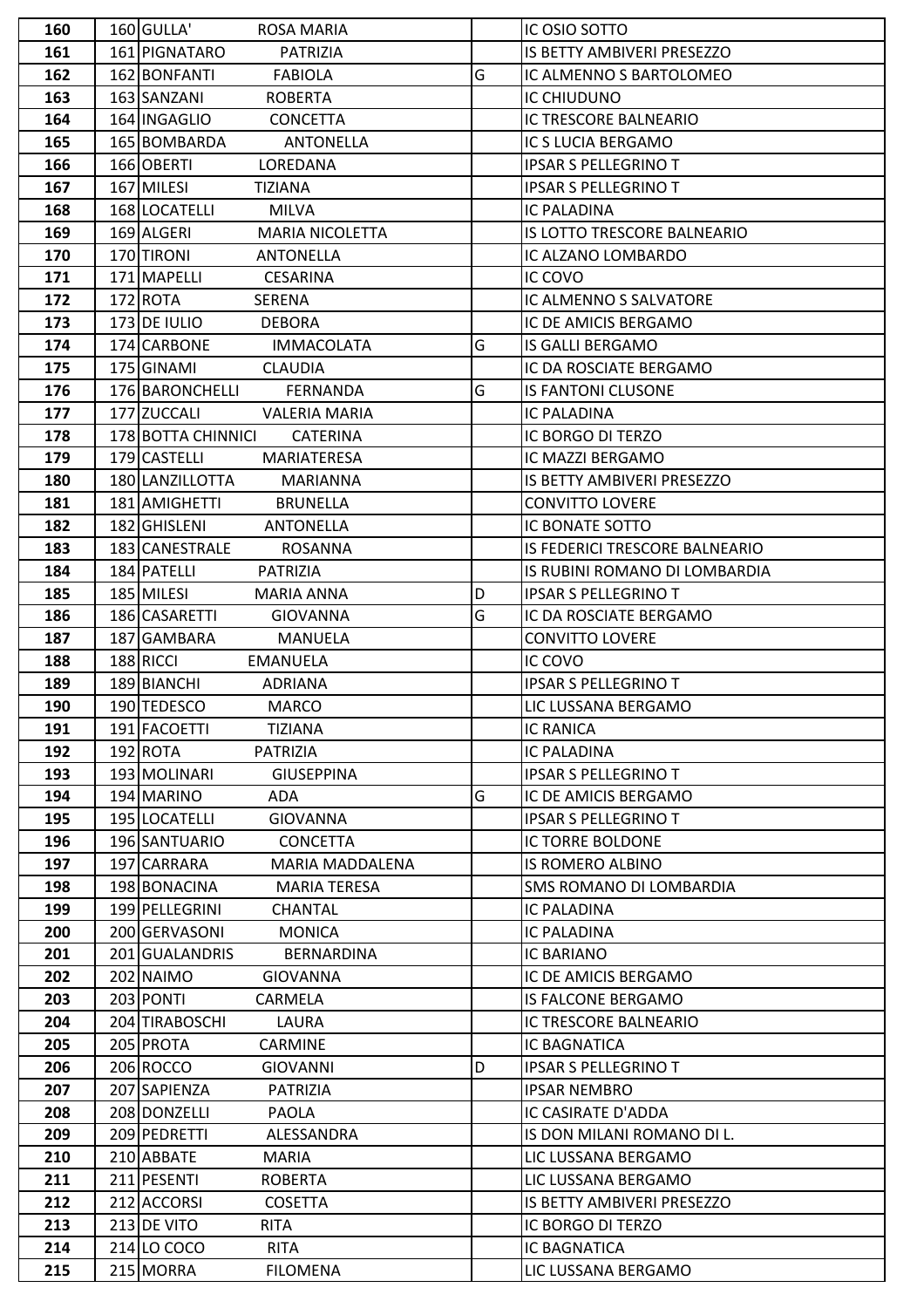| 160        | 160 GULLA'<br><b>ROSA MARIA</b>                            |   | IC OSIO SOTTO                       |
|------------|------------------------------------------------------------|---|-------------------------------------|
| 161        | 161 PIGNATARO<br>PATRIZIA                                  |   | IS BETTY AMBIVERI PRESEZZO          |
| 162        | 162 BONFANTI<br><b>FABIOLA</b>                             | G | IC ALMENNO S BARTOLOMEO             |
| 163        | 163 SANZANI<br><b>ROBERTA</b>                              |   | IC CHIUDUNO                         |
| 164        | 164 INGAGLIO<br><b>CONCETTA</b>                            |   | IC TRESCORE BALNEARIO               |
| 165        | 165 BOMBARDA<br><b>ANTONELLA</b>                           |   | IC S LUCIA BERGAMO                  |
| 166        | 166 OBERTI<br>LOREDANA                                     |   | <b>IPSAR S PELLEGRINO T</b>         |
| 167        | 167 MILESI<br><b>TIZIANA</b>                               |   | <b>IPSAR S PELLEGRINO T</b>         |
| 168        | 168 LOCATELLI<br><b>MILVA</b>                              |   | <b>IC PALADINA</b>                  |
| 169        | 169 ALGERI<br><b>MARIA NICOLETTA</b>                       |   | IS LOTTO TRESCORE BALNEARIO         |
| 170        | 170 TIRONI<br><b>ANTONELLA</b>                             |   | IC ALZANO LOMBARDO                  |
| 171        | 171 MAPELLI<br><b>CESARINA</b>                             |   | IC COVO                             |
| 172        | 172 ROTA<br>SERENA                                         |   | IC ALMENNO S SALVATORE              |
| 173        | 173 DE IULIO<br><b>DEBORA</b>                              |   | IC DE AMICIS BERGAMO                |
| 174        | 174 CARBONE<br><b>IMMACOLATA</b>                           | G | <b>IS GALLI BERGAMO</b>             |
| 175        | 175 GINAMI<br><b>CLAUDIA</b>                               |   | IC DA ROSCIATE BERGAMO              |
| 176        | 176 BARONCHELLI<br>FERNANDA                                | G | <b>IS FANTONI CLUSONE</b>           |
| 177        | 177 ZUCCALI<br><b>VALERIA MARIA</b>                        |   | <b>IC PALADINA</b>                  |
| 178        | 178 BOTTA CHINNICI<br><b>CATERINA</b>                      |   | IC BORGO DI TERZO                   |
| 179        | 179 CASTELLI<br>MARIATERESA                                |   | IC MAZZI BERGAMO                    |
| 180        | 180 LANZILLOTTA<br><b>MARIANNA</b>                         |   | IS BETTY AMBIVERI PRESEZZO          |
| 181        | 181 AMIGHETTI<br><b>BRUNELLA</b>                           |   | <b>CONVITTO LOVERE</b>              |
| 182        | 182 GHISLENI<br><b>ANTONELLA</b>                           |   | IC BONATE SOTTO                     |
| 183        | 183 CANESTRALE<br><b>ROSANNA</b>                           |   | IS FEDERICI TRESCORE BALNEARIO      |
| 184        | 184 PATELLI<br>PATRIZIA                                    |   | IS RUBINI ROMANO DI LOMBARDIA       |
| 185        | 185 MILESI<br><b>MARIA ANNA</b>                            | D | <b>IPSAR S PELLEGRINO T</b>         |
| 186        | 186 CASARETTI<br><b>GIOVANNA</b>                           | G | IC DA ROSCIATE BERGAMO              |
| 187        | 187 GAMBARA<br><b>MANUELA</b>                              |   | <b>CONVITTO LOVERE</b>              |
| 188        | 188 RICCI<br><b>EMANUELA</b>                               |   | IC COVO                             |
| 189        | 189 BIANCHI<br>ADRIANA                                     |   | <b>IPSAR S PELLEGRINO T</b>         |
| 190        | 190 TEDESCO<br><b>MARCO</b>                                |   | LIC LUSSANA BERGAMO                 |
| 191        | 191 FACOETTI<br><b>TIZIANA</b>                             |   | <b>IC RANICA</b>                    |
| 192        | 192 ROTA<br><b>PATRIZIA</b>                                |   | <b>IC PALADINA</b>                  |
| 193        | 193 MOLINARI<br><b>GIUSEPPINA</b>                          |   | <b>IPSAR S PELLEGRINO T</b>         |
| 194        | 194 MARINO<br>ADA                                          | G | IC DE AMICIS BERGAMO                |
| 195        | 195 LOCATELLI<br><b>GIOVANNA</b>                           |   | <b>IPSAR S PELLEGRINO T</b>         |
| 196        | 196 SANTUARIO<br><b>CONCETTA</b>                           |   | IC TORRE BOLDONE                    |
| 197        | 197 CARRARA<br>MARIA MADDALENA                             |   | <b>IS ROMERO ALBINO</b>             |
| 198        | 198 BONACINA<br><b>MARIA TERESA</b>                        |   | <b>SMS ROMANO DI LOMBARDIA</b>      |
| 199        | 199 PELLEGRINI<br><b>CHANTAL</b>                           |   | <b>IC PALADINA</b>                  |
| 200        | 200 GERVASONI<br><b>MONICA</b>                             |   | <b>IC PALADINA</b>                  |
| 201        | 201 GUALANDRIS<br>BERNARDINA                               |   | IC BARIANO                          |
| 202        | 202 NAIMO<br><b>GIOVANNA</b>                               |   |                                     |
|            |                                                            |   | IC DE AMICIS BERGAMO                |
| 203        | 203 PONTI<br>CARMELA                                       |   | <b>IS FALCONE BERGAMO</b>           |
| 204        | 204 TIRABOSCHI<br>LAURA                                    |   | IC TRESCORE BALNEARIO               |
| 205        | 205 PROTA<br><b>CARMINE</b>                                |   | <b>IC BAGNATICA</b>                 |
| 206        | 206 ROCCO<br><b>GIOVANNI</b>                               | D | <b>IPSAR S PELLEGRINO T</b>         |
| 207        | 207 SAPIENZA<br>PATRIZIA                                   |   | <b>IPSAR NEMBRO</b>                 |
| 208        | 208 DONZELLI<br><b>PAOLA</b>                               |   | IC CASIRATE D'ADDA                  |
| 209        | 209 PEDRETTI<br>ALESSANDRA                                 |   | IS DON MILANI ROMANO DI L.          |
| 210        | 210 ABBATE<br><b>MARIA</b>                                 |   | LIC LUSSANA BERGAMO                 |
| 211        | 211 PESENTI<br><b>ROBERTA</b>                              |   | LIC LUSSANA BERGAMO                 |
| 212        | 212 ACCORSI<br><b>COSETTA</b>                              |   | IS BETTY AMBIVERI PRESEZZO          |
| 213        | 213 DE VITO<br><b>RITA</b>                                 |   | IC BORGO DI TERZO                   |
| 214<br>215 | 214 LO COCO<br><b>RITA</b><br>215 MORRA<br><b>FILOMENA</b> |   | IC BAGNATICA<br>LIC LUSSANA BERGAMO |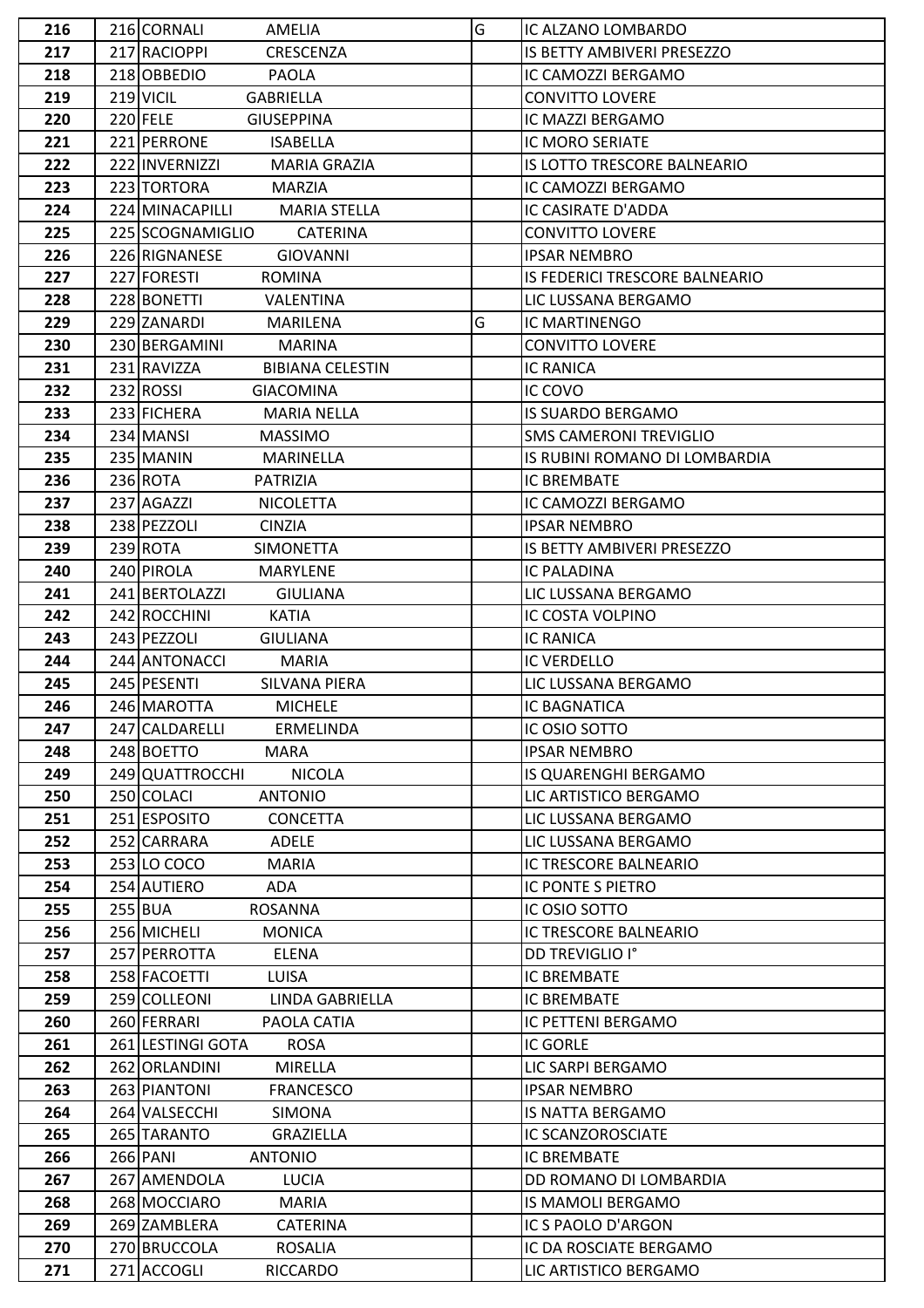| 216 | 216 CORNALI<br>AMELIA                  | G | IC ALZANO LOMBARDO                |  |  |
|-----|----------------------------------------|---|-----------------------------------|--|--|
| 217 | 217 RACIOPPI<br><b>CRESCENZA</b>       |   | <b>IS BETTY AMBIVERI PRESEZZO</b> |  |  |
| 218 | 218 OBBEDIO<br><b>PAOLA</b>            |   | IC CAMOZZI BERGAMO                |  |  |
| 219 | 219 VICIL<br><b>GABRIELLA</b>          |   | <b>CONVITTO LOVERE</b>            |  |  |
| 220 | $220$ FELE<br><b>GIUSEPPINA</b>        |   | IC MAZZI BERGAMO                  |  |  |
| 221 | 221 PERRONE<br><b>ISABELLA</b>         |   | IC MORO SERIATE                   |  |  |
| 222 | 222 INVERNIZZI<br><b>MARIA GRAZIA</b>  |   | IS LOTTO TRESCORE BALNEARIO       |  |  |
| 223 | 223 TORTORA<br><b>MARZIA</b>           |   | IC CAMOZZI BERGAMO                |  |  |
| 224 | 224 MINACAPILLI<br><b>MARIA STELLA</b> |   | IC CASIRATE D'ADDA                |  |  |
| 225 | 225 SCOGNAMIGLIO<br><b>CATERINA</b>    |   | <b>CONVITTO LOVERE</b>            |  |  |
| 226 | 226 RIGNANESE<br><b>GIOVANNI</b>       |   | <b>IPSAR NEMBRO</b>               |  |  |
| 227 | 227 FORESTI<br><b>ROMINA</b>           |   | IS FEDERICI TRESCORE BALNEARIO    |  |  |
| 228 | 228 BONETTI<br>VALENTINA               |   | LIC LUSSANA BERGAMO               |  |  |
| 229 | 229 ZANARDI<br><b>MARILENA</b>         | G | IC MARTINENGO                     |  |  |
| 230 | 230 BERGAMINI<br><b>MARINA</b>         |   | <b>CONVITTO LOVERE</b>            |  |  |
| 231 | 231 RAVIZZA<br><b>BIBIANA CELESTIN</b> |   | <b>IC RANICA</b>                  |  |  |
| 232 | 232 ROSSI<br><b>GIACOMINA</b>          |   | IC COVO                           |  |  |
| 233 | 233 FICHERA<br><b>MARIA NELLA</b>      |   | <b>IS SUARDO BERGAMO</b>          |  |  |
| 234 | 234 MANSI<br><b>MASSIMO</b>            |   | <b>SMS CAMERONI TREVIGLIO</b>     |  |  |
| 235 | 235 MANIN<br>MARINELLA                 |   | IS RUBINI ROMANO DI LOMBARDIA     |  |  |
| 236 | 236 ROTA<br>PATRIZIA                   |   | IC BREMBATE                       |  |  |
| 237 | 237 AGAZZI<br><b>NICOLETTA</b>         |   | IC CAMOZZI BERGAMO                |  |  |
| 238 | 238 PEZZOLI<br><b>CINZIA</b>           |   | <b>IPSAR NEMBRO</b>               |  |  |
| 239 | 239 ROTA<br><b>SIMONETTA</b>           |   | IS BETTY AMBIVERI PRESEZZO        |  |  |
| 240 | 240 PIROLA<br><b>MARYLENE</b>          |   | IC PALADINA                       |  |  |
| 241 | 241 BERTOLAZZI<br><b>GIULIANA</b>      |   | LIC LUSSANA BERGAMO               |  |  |
| 242 | 242 ROCCHINI<br><b>KATIA</b>           |   | IC COSTA VOLPINO                  |  |  |
| 243 | 243 PEZZOLI<br><b>GIULIANA</b>         |   | <b>IC RANICA</b>                  |  |  |
| 244 | 244 ANTONACCI<br><b>MARIA</b>          |   | <b>IC VERDELLO</b>                |  |  |
| 245 | 245 PESENTI<br>SILVANA PIERA           |   | LIC LUSSANA BERGAMO               |  |  |
| 246 | 246 MAROTTA<br><b>MICHELE</b>          |   | <b>IC BAGNATICA</b>               |  |  |
| 247 | 247 CALDARELLI<br>ERMELINDA            |   | IC OSIO SOTTO                     |  |  |
| 248 | 248 BOETTO<br><b>MARA</b>              |   | <b>IPSAR NEMBRO</b>               |  |  |
| 249 | 249 QUATTROCCHI<br><b>NICOLA</b>       |   | IS QUARENGHI BERGAMO              |  |  |
| 250 | 250 COLACI<br><b>ANTONIO</b>           |   | LIC ARTISTICO BERGAMO             |  |  |
| 251 | 251 ESPOSITO<br><b>CONCETTA</b>        |   | LIC LUSSANA BERGAMO               |  |  |
| 252 | 252 CARRARA<br>ADELE                   |   | LIC LUSSANA BERGAMO               |  |  |
| 253 | 253 LO COCO<br><b>MARIA</b>            |   | IC TRESCORE BALNEARIO             |  |  |
| 254 | 254 AUTIERO<br>ADA                     |   | IC PONTE S PIETRO                 |  |  |
| 255 | $255$ BUA<br><b>ROSANNA</b>            |   | IC OSIO SOTTO                     |  |  |
| 256 | 256 MICHELI<br><b>MONICA</b>           |   | IC TRESCORE BALNEARIO             |  |  |
| 257 | 257 PERROTTA<br>ELENA                  |   | DD TREVIGLIO I°                   |  |  |
| 258 | 258 FACOETTI<br><b>LUISA</b>           |   | IC BREMBATE                       |  |  |
| 259 | 259 COLLEONI<br>LINDA GABRIELLA        |   | IC BREMBATE                       |  |  |
| 260 | 260 FERRARI<br>PAOLA CATIA             |   | IC PETTENI BERGAMO                |  |  |
| 261 | 261 LESTINGI GOTA<br><b>ROSA</b>       |   | <b>IC GORLE</b>                   |  |  |
| 262 | 262 ORLANDINI<br>MIRELLA               |   | LIC SARPI BERGAMO                 |  |  |
| 263 | 263 PIANTONI<br><b>FRANCESCO</b>       |   | <b>IPSAR NEMBRO</b>               |  |  |
| 264 | 264 VALSECCHI<br><b>SIMONA</b>         |   | IS NATTA BERGAMO                  |  |  |
| 265 | 265 TARANTO<br>GRAZIELLA               |   | IC SCANZOROSCIATE                 |  |  |
| 266 | 266 PANI<br><b>ANTONIO</b>             |   | IC BREMBATE                       |  |  |
| 267 | 267 AMENDOLA<br><b>LUCIA</b>           |   | DD ROMANO DI LOMBARDIA            |  |  |
| 268 | 268 MOCCIARO<br><b>MARIA</b>           |   | IS MAMOLI BERGAMO                 |  |  |
| 269 | 269 ZAMBLERA<br><b>CATERINA</b>        |   | IC S PAOLO D'ARGON                |  |  |
| 270 | 270 BRUCCOLA<br><b>ROSALIA</b>         |   | IC DA ROSCIATE BERGAMO            |  |  |
| 271 | 271 ACCOGLI<br>RICCARDO                |   | LIC ARTISTICO BERGAMO             |  |  |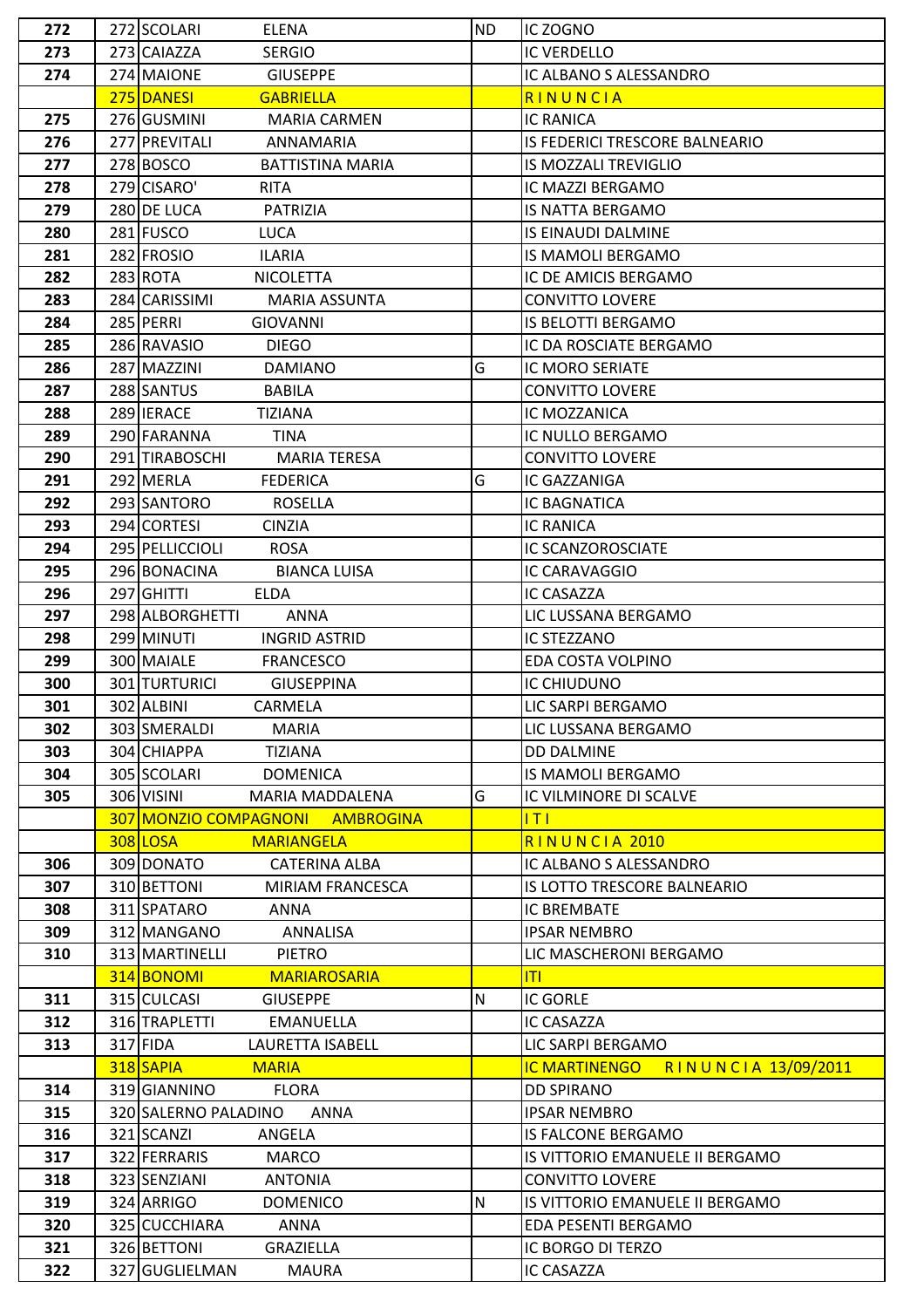| 272 | 272 SCOLARI<br><b>ELENA</b>            | <b>ND</b> | IC ZOGNO                                    |  |
|-----|----------------------------------------|-----------|---------------------------------------------|--|
| 273 | 273 CAIAZZA<br><b>SERGIO</b>           |           | <b>IC VERDELLO</b>                          |  |
| 274 | 274 MAIONE<br><b>GIUSEPPE</b>          |           | IC ALBANO S ALESSANDRO                      |  |
|     | 275 DANESI<br><b>GABRIELLA</b>         |           | RINUNCIA                                    |  |
| 275 | 276 GUSMINI<br><b>MARIA CARMEN</b>     |           | <b>IC RANICA</b>                            |  |
| 276 | 277 PREVITALI<br>ANNAMARIA             |           | IS FEDERICI TRESCORE BALNEARIO              |  |
| 277 | 278 BOSCO<br><b>BATTISTINA MARIA</b>   |           | <b>IS MOZZALI TREVIGLIO</b>                 |  |
| 278 | 279 CISARO'<br><b>RITA</b>             |           | IC MAZZI BERGAMO                            |  |
| 279 | 280 DE LUCA<br>PATRIZIA                |           | IS NATTA BERGAMO                            |  |
| 280 | 281 FUSCO<br><b>LUCA</b>               |           | IS EINAUDI DALMINE                          |  |
| 281 | 282 FROSIO<br><b>ILARIA</b>            |           | IS MAMOLI BERGAMO                           |  |
| 282 | 283 ROTA<br><b>NICOLETTA</b>           |           | IC DE AMICIS BERGAMO                        |  |
| 283 | 284 CARISSIMI<br><b>MARIA ASSUNTA</b>  |           | <b>CONVITTO LOVERE</b>                      |  |
| 284 | 285 PERRI<br><b>GIOVANNI</b>           |           | <b>IS BELOTTI BERGAMO</b>                   |  |
| 285 | 286 RAVASIO<br><b>DIEGO</b>            |           | IC DA ROSCIATE BERGAMO                      |  |
| 286 | 287 MAZZINI<br><b>DAMIANO</b>          | G         | IC MORO SERIATE                             |  |
| 287 | 288 SANTUS<br><b>BABILA</b>            |           | <b>CONVITTO LOVERE</b>                      |  |
| 288 | 289 IERACE<br><b>TIZIANA</b>           |           | IC MOZZANICA                                |  |
| 289 | 290 FARANNA<br><b>TINA</b>             |           | IC NULLO BERGAMO                            |  |
| 290 | 291 TIRABOSCHI<br><b>MARIA TERESA</b>  |           | <b>CONVITTO LOVERE</b>                      |  |
| 291 | 292 MERLA<br><b>FEDERICA</b>           | G         | IC GAZZANIGA                                |  |
| 292 | 293 SANTORO<br><b>ROSELLA</b>          |           | <b>IC BAGNATICA</b>                         |  |
| 293 | 294 CORTESI<br><b>CINZIA</b>           |           | <b>IC RANICA</b>                            |  |
| 294 | 295 PELLICCIOLI<br><b>ROSA</b>         |           | <b>IC SCANZOROSCIATE</b>                    |  |
|     |                                        |           |                                             |  |
| 295 | 296 BONACINA<br><b>BIANCA LUISA</b>    |           | IC CARAVAGGIO                               |  |
| 296 | 297 GHITTI<br><b>ELDA</b>              |           | IC CASAZZA                                  |  |
| 297 | 298 ALBORGHETTI<br>ANNA                |           | LIC LUSSANA BERGAMO                         |  |
| 298 | 299 MINUTI<br><b>INGRID ASTRID</b>     |           | <b>IC STEZZANO</b>                          |  |
| 299 | 300 MAIALE<br><b>FRANCESCO</b>         |           | EDA COSTA VOLPINO                           |  |
| 300 | 301 TURTURICI<br><b>GIUSEPPINA</b>     |           | IC CHIUDUNO                                 |  |
| 301 | 302 ALBINI<br>CARMELA                  |           | LIC SARPI BERGAMO                           |  |
| 302 | 303 SMERALDI<br><b>MARIA</b>           |           | LIC LUSSANA BERGAMO                         |  |
| 303 | 304 CHIAPPA<br><b>TIZIANA</b>          |           | <b>DD DALMINE</b>                           |  |
| 304 | 305 SCOLARI<br><b>DOMENICA</b>         |           | <b>IS MAMOLI BERGAMO</b>                    |  |
| 305 | 306 VISINI<br>MARIA MADDALENA          | G         | IC VILMINORE DI SCALVE                      |  |
|     | 307 MONZIO COMPAGNONI AMBROGINA        |           | T                                           |  |
|     | 308 LOSA<br><b>MARIANGELA</b>          |           | RINUNCIA 2010                               |  |
| 306 | 309 DONATO<br><b>CATERINA ALBA</b>     |           | IC ALBANO S ALESSANDRO                      |  |
| 307 | 310 BETTONI<br><b>MIRIAM FRANCESCA</b> |           | IS LOTTO TRESCORE BALNEARIO                 |  |
| 308 | 311 SPATARO<br><b>ANNA</b>             |           | IC BREMBATE                                 |  |
| 309 | 312 MANGANO<br>ANNALISA                |           | <b>IPSAR NEMBRO</b>                         |  |
| 310 | 313 MARTINELLI<br><b>PIETRO</b>        |           | LIC MASCHERONI BERGAMO                      |  |
|     | 314 BONOMI<br><b>MARIAROSARIA</b>      |           | T                                           |  |
| 311 | 315 CULCASI<br><b>GIUSEPPE</b>         | N         | <b>IC GORLE</b>                             |  |
| 312 | 316 TRAPLETTI<br><b>EMANUELLA</b>      |           | <b>IC CASAZZA</b>                           |  |
| 313 | 317 FIDA<br>LAURETTA ISABELL           |           | LIC SARPI BERGAMO                           |  |
|     | 318 SAPIA<br><b>MARIA</b>              |           | <b>IC MARTINENGO</b><br>RINUNCIA 13/09/2011 |  |
| 314 | 319 GIANNINO<br><b>FLORA</b>           |           | <b>DD SPIRANO</b>                           |  |
| 315 | 320 SALERNO PALADINO<br>ANNA           |           | <b>IPSAR NEMBRO</b>                         |  |
| 316 | 321 SCANZI<br>ANGELA                   |           | IS FALCONE BERGAMO                          |  |
| 317 | 322 FERRARIS<br><b>MARCO</b>           |           | IS VITTORIO EMANUELE II BERGAMO             |  |
| 318 | 323 SENZIANI<br><b>ANTONIA</b>         |           | <b>CONVITTO LOVERE</b>                      |  |
| 319 | 324 ARRIGO<br><b>DOMENICO</b>          | N         | IS VITTORIO EMANUELE II BERGAMO             |  |
| 320 | 325 CUCCHIARA<br><b>ANNA</b>           |           | EDA PESENTI BERGAMO                         |  |
| 321 | 326 BETTONI<br><b>GRAZIELLA</b>        |           | IC BORGO DI TERZO                           |  |
| 322 | 327 GUGLIELMAN<br><b>MAURA</b>         |           | IC CASAZZA                                  |  |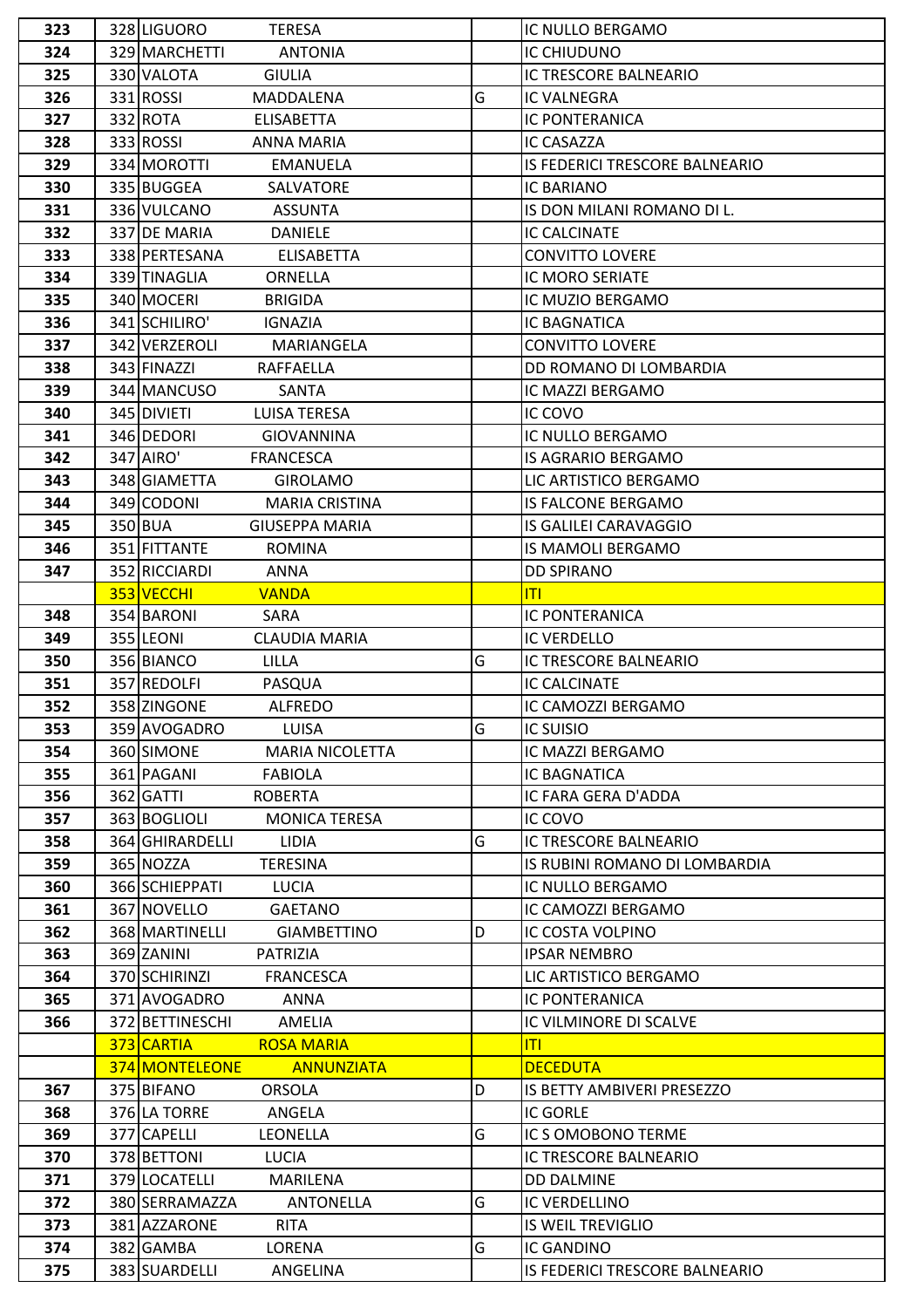| 323 | 328 LIGUORO<br><b>TERESA</b>         |   | IC NULLO BERGAMO               |
|-----|--------------------------------------|---|--------------------------------|
| 324 | 329 MARCHETTI<br><b>ANTONIA</b>      |   | IC CHIUDUNO                    |
| 325 | 330 VALOTA<br><b>GIULIA</b>          |   | IC TRESCORE BALNEARIO          |
| 326 | 331 ROSSI<br>MADDALENA               | G | IC VALNEGRA                    |
| 327 | 332 ROTA<br>ELISABETTA               |   | <b>IC PONTERANICA</b>          |
| 328 | 333 ROSSI<br>ANNA MARIA              |   | IC CASAZZA                     |
| 329 | 334 MOROTTI<br>EMANUELA              |   | IS FEDERICI TRESCORE BALNEARIO |
| 330 | 335 BUGGEA<br>SALVATORE              |   | IC BARIANO                     |
| 331 | 336 VULCANO<br><b>ASSUNTA</b>        |   | IS DON MILANI ROMANO DI L.     |
| 332 | 337 DE MARIA<br><b>DANIELE</b>       |   | <b>IC CALCINATE</b>            |
| 333 | 338 PERTESANA<br><b>ELISABETTA</b>   |   | <b>CONVITTO LOVERE</b>         |
| 334 | 339 TINAGLIA<br>ORNELLA              |   | IC MORO SERIATE                |
| 335 | 340 MOCERI<br><b>BRIGIDA</b>         |   | IC MUZIO BERGAMO               |
| 336 | 341 SCHILIRO'<br><b>IGNAZIA</b>      |   | IC BAGNATICA                   |
| 337 | 342 VERZEROLI<br>MARIANGELA          |   | <b>CONVITTO LOVERE</b>         |
| 338 | 343 FINAZZI<br>RAFFAELLA             |   | DD ROMANO DI LOMBARDIA         |
| 339 | 344 MANCUSO<br>SANTA                 |   | IC MAZZI BERGAMO               |
| 340 | 345 DIVIETI<br><b>LUISA TERESA</b>   |   | IC COVO                        |
| 341 | 346 DEDORI<br><b>GIOVANNINA</b>      |   | IC NULLO BERGAMO               |
| 342 | 347 AIRO'<br><b>FRANCESCA</b>        |   | IS AGRARIO BERGAMO             |
| 343 | 348 GIAMETTA<br><b>GIROLAMO</b>      |   | LIC ARTISTICO BERGAMO          |
| 344 | 349 CODONI<br><b>MARIA CRISTINA</b>  |   | <b>IS FALCONE BERGAMO</b>      |
| 345 | 350 BUA<br><b>GIUSEPPA MARIA</b>     |   | IS GALILEI CARAVAGGIO          |
| 346 | 351 FITTANTE<br>ROMINA               |   | IS MAMOLI BERGAMO              |
| 347 | 352 RICCIARDI<br>ANNA                |   | <b>DD SPIRANO</b>              |
|     | 353 VECCHI<br><b>VANDA</b>           |   | T                              |
| 348 | 354 BARONI<br>SARA                   |   | <b>IC PONTERANICA</b>          |
| 349 | <b>CLAUDIA MARIA</b><br>355 LEONI    |   | <b>IC VERDELLO</b>             |
| 350 | 356 BIANCO<br><b>LILLA</b>           | G | IC TRESCORE BALNEARIO          |
| 351 | 357 REDOLFI<br>PASQUA                |   | <b>IC CALCINATE</b>            |
| 352 | 358 ZINGONE<br><b>ALFREDO</b>        |   | IC CAMOZZI BERGAMO             |
| 353 | 359 AVOGADRO<br><b>LUISA</b>         | G | <b>IC SUISIO</b>               |
| 354 | 360 SIMONE<br><b>MARIA NICOLETTA</b> |   | IC MAZZI BERGAMO               |
| 355 | 361 PAGANI<br><b>FABIOLA</b>         |   | IC BAGNATICA                   |
| 356 | 362 GATTI<br><b>ROBERTA</b>          |   | IC FARA GERA D'ADDA            |
| 357 | 363 BOGLIOLI<br><b>MONICA TERESA</b> |   | IC COVO                        |
| 358 | 364 GHIRARDELLI<br><b>LIDIA</b>      | G | IC TRESCORE BALNEARIO          |
| 359 | 365 NOZZA<br><b>TERESINA</b>         |   | IS RUBINI ROMANO DI LOMBARDIA  |
| 360 | 366 SCHIEPPATI<br><b>LUCIA</b>       |   | IC NULLO BERGAMO               |
| 361 | 367 NOVELLO<br><b>GAETANO</b>        |   | IC CAMOZZI BERGAMO             |
| 362 | 368 MARTINELLI<br><b>GIAMBETTINO</b> | D | IC COSTA VOLPINO               |
| 363 | 369 ZANINI<br>PATRIZIA               |   | <b>IPSAR NEMBRO</b>            |
| 364 | 370 SCHIRINZI<br><b>FRANCESCA</b>    |   | LIC ARTISTICO BERGAMO          |
| 365 | 371 AVOGADRO<br>ANNA                 |   | <b>IC PONTERANICA</b>          |
| 366 | 372 BETTINESCHI<br>AMELIA            |   | IC VILMINORE DI SCALVE         |
|     | 373 CARTIA<br><b>ROSA MARIA</b>      |   | T                              |
|     | 374 MONTELEONE<br><b>ANNUNZIATA</b>  |   | <b>DECEDUTA</b>                |
| 367 | 375 BIFANO<br><b>ORSOLA</b>          | D | IS BETTY AMBIVERI PRESEZZO     |
| 368 | 376 LA TORRE<br>ANGELA               |   | <b>IC GORLE</b>                |
| 369 | 377 CAPELLI<br><b>LEONELLA</b>       | G | IC S OMOBONO TERME             |
| 370 | 378 BETTONI<br><b>LUCIA</b>          |   | IC TRESCORE BALNEARIO          |
| 371 | 379 LOCATELLI<br><b>MARILENA</b>     |   | <b>DD DALMINE</b>              |
| 372 | 380 SERRAMAZZA<br><b>ANTONELLA</b>   | G | <b>IC VERDELLINO</b>           |
| 373 | 381 AZZARONE<br><b>RITA</b>          |   | <b>IS WEIL TREVIGLIO</b>       |
| 374 | 382 GAMBA<br>LORENA                  | G | IC GANDINO                     |
| 375 | 383 SUARDELLI<br>ANGELINA            |   | IS FEDERICI TRESCORE BALNEARIO |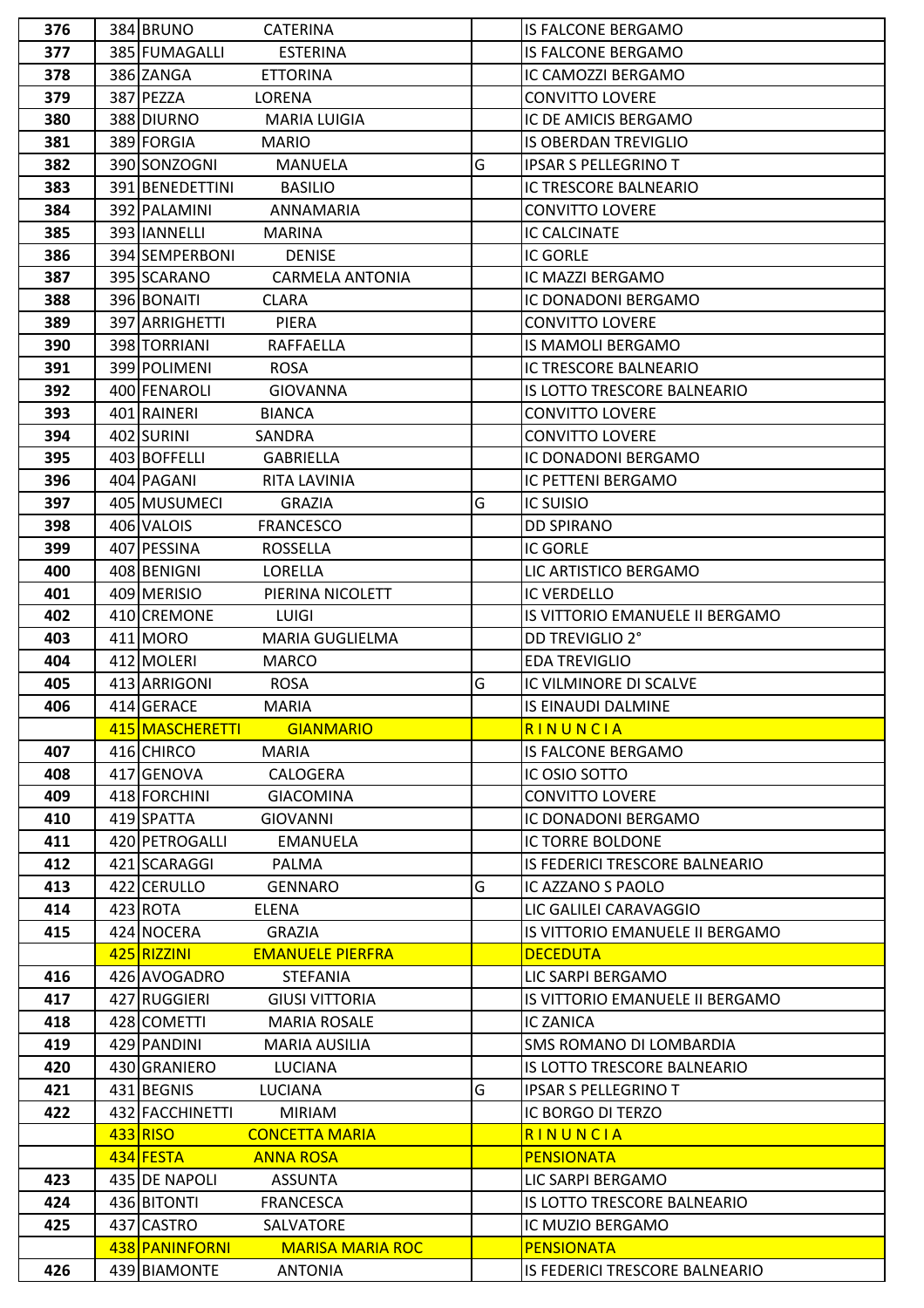| 376 | 384 BRUNO<br><b>CATERINA</b>                                                |   | <b>IS FALCONE BERGAMO</b>                    |
|-----|-----------------------------------------------------------------------------|---|----------------------------------------------|
| 377 | 385 FUMAGALLI<br><b>ESTERINA</b>                                            |   | <b>IS FALCONE BERGAMO</b>                    |
| 378 | 386 ZANGA<br><b>ETTORINA</b>                                                |   | IC CAMOZZI BERGAMO                           |
| 379 | 387 PEZZA<br>LORENA                                                         |   | <b>CONVITTO LOVERE</b>                       |
| 380 | 388 DIURNO<br><b>MARIA LUIGIA</b>                                           |   | IC DE AMICIS BERGAMO                         |
| 381 | 389 FORGIA<br><b>MARIO</b>                                                  |   | <b>IS OBERDAN TREVIGLIO</b>                  |
| 382 | 390 SONZOGNI<br><b>MANUELA</b>                                              | G | <b>IPSAR S PELLEGRINO T</b>                  |
| 383 | 391 BENEDETTINI<br><b>BASILIO</b>                                           |   | IC TRESCORE BALNEARIO                        |
| 384 | 392 PALAMINI<br>ANNAMARIA                                                   |   | <b>CONVITTO LOVERE</b>                       |
| 385 | 393 IJANNELLI<br><b>MARINA</b>                                              |   | <b>IC CALCINATE</b>                          |
| 386 | 394 SEMPERBONI<br><b>DENISE</b>                                             |   | <b>IC GORLE</b>                              |
| 387 | 395 SCARANO<br><b>CARMELA ANTONIA</b>                                       |   | IC MAZZI BERGAMO                             |
| 388 | 396 BONAITI<br><b>CLARA</b>                                                 |   | IC DONADONI BERGAMO                          |
| 389 | 397 ARRIGHETTI<br>PIERA                                                     |   | <b>CONVITTO LOVERE</b>                       |
| 390 | 398 TORRIANI<br>RAFFAELLA                                                   |   | <b>IS MAMOLI BERGAMO</b>                     |
| 391 | 399 POLIMENI<br><b>ROSA</b>                                                 |   | IC TRESCORE BALNEARIO                        |
| 392 | 400 FENAROLI<br><b>GIOVANNA</b>                                             |   | <b>IS LOTTO TRESCORE BALNEARIO</b>           |
| 393 | 401 RAINERI<br><b>BIANCA</b>                                                |   | <b>CONVITTO LOVERE</b>                       |
| 394 | 402 SURINI<br>SANDRA                                                        |   | <b>CONVITTO LOVERE</b>                       |
| 395 | 403 BOFFELLI<br><b>GABRIELLA</b>                                            |   | IC DONADONI BERGAMO                          |
| 396 | 404 PAGANI<br>RITA LAVINIA                                                  |   | IC PETTENI BERGAMO                           |
| 397 | 405 MUSUMECI<br><b>GRAZIA</b>                                               | G | <b>IC SUISIO</b>                             |
| 398 | 406 VALOIS<br><b>FRANCESCO</b>                                              |   | <b>DD SPIRANO</b>                            |
| 399 | 407 PESSINA<br>ROSSELLA                                                     |   | <b>IC GORLE</b>                              |
| 400 | 408 BENIGNI<br>LORELLA                                                      |   | LIC ARTISTICO BERGAMO                        |
| 401 | 409 MERISIO<br>PIERINA NICOLETT                                             |   | <b>IC VERDELLO</b>                           |
| 402 | 410 CREMONE<br>LUIGI                                                        |   | IS VITTORIO EMANUELE II BERGAMO              |
| 403 | 411 MORO<br><b>MARIA GUGLIELMA</b>                                          |   | DD TREVIGLIO 2°                              |
| 404 | 412 MOLERI<br><b>MARCO</b>                                                  |   | <b>EDA TREVIGLIO</b>                         |
| 405 | 413 ARRIGONI<br><b>ROSA</b>                                                 | G | IC VILMINORE DI SCALVE                       |
| 406 | 414 GERACE<br><b>MARIA</b>                                                  |   | <b>IS EINAUDI DALMINE</b>                    |
|     | 415 MASCHERETTI                                                             |   | RINUNCIA                                     |
| 407 | <b>GIANMARIO</b>                                                            |   | <b>IS FALCONE BERGAMO</b>                    |
|     | 416 CHIRCO<br><b>MARIA</b>                                                  |   |                                              |
| 408 | 417 GENOVA<br>CALOGERA<br>418 FORCHINI                                      |   | IC OSIO SOTTO                                |
| 409 | <b>GIACOMINA</b>                                                            |   | <b>CONVITTO LOVERE</b>                       |
| 410 | 419 SPATTA<br><b>GIOVANNI</b>                                               |   | IC DONADONI BERGAMO                          |
| 411 | 420 PETROGALLI<br><b>EMANUELA</b>                                           |   | <b>IC TORRE BOLDONE</b>                      |
| 412 | 421 SCARAGGI<br>PALMA                                                       |   | IS FEDERICI TRESCORE BALNEARIO               |
| 413 | 422 CERULLO<br><b>GENNARO</b>                                               | G | IC AZZANO S PAOLO                            |
| 414 | 423 ROTA<br>ELENA                                                           |   | LIC GALILEI CARAVAGGIO                       |
| 415 | 424 NOCERA<br>GRAZIA                                                        |   | IS VITTORIO EMANUELE II BERGAMO              |
|     | 425 RIZZINI<br><b>EMANUELE PIERFRA</b>                                      |   | <b>DECEDUTA</b>                              |
| 416 | 426 AVOGADRO<br>STEFANIA                                                    |   | LIC SARPI BERGAMO                            |
| 417 | 427 RUGGIERI<br><b>GIUSI VITTORIA</b>                                       |   | IS VITTORIO EMANUELE II BERGAMO              |
| 418 | 428 COMETTI<br><b>MARIA ROSALE</b>                                          |   | <b>IC ZANICA</b>                             |
| 419 | 429 PANDINI<br>MARIA AUSILIA                                                |   | SMS ROMANO DI LOMBARDIA                      |
| 420 | 430 GRANIERO<br><b>LUCIANA</b>                                              |   | IS LOTTO TRESCORE BALNEARIO                  |
| 421 | 431 BEGNIS<br>LUCIANA                                                       | G | <b>IPSAR S PELLEGRINO T</b>                  |
| 422 | 432 FACCHINETTI<br><b>MIRIAM</b>                                            |   | IC BORGO DI TERZO                            |
|     | 433 RISO<br><b>CONCETTA MARIA</b>                                           |   | RINUNCIA                                     |
|     | 434 FESTA<br><b>ANNA ROSA</b>                                               |   | <b>PENSIONATA</b>                            |
| 423 | 435 DE NAPOLI<br><b>ASSUNTA</b>                                             |   | LIC SARPI BERGAMO                            |
| 424 | 436 BITONTI<br><b>FRANCESCA</b>                                             |   | IS LOTTO TRESCORE BALNEARIO                  |
| 425 |                                                                             |   |                                              |
|     | 437 CASTRO<br>SALVATORE                                                     |   | IC MUZIO BERGAMO                             |
| 426 | 438 PANINFORNI<br><b>MARISA MARIA ROC</b><br>439 BIAMONTE<br><b>ANTONIA</b> |   | PENSIONATA<br>IS FEDERICI TRESCORE BALNEARIO |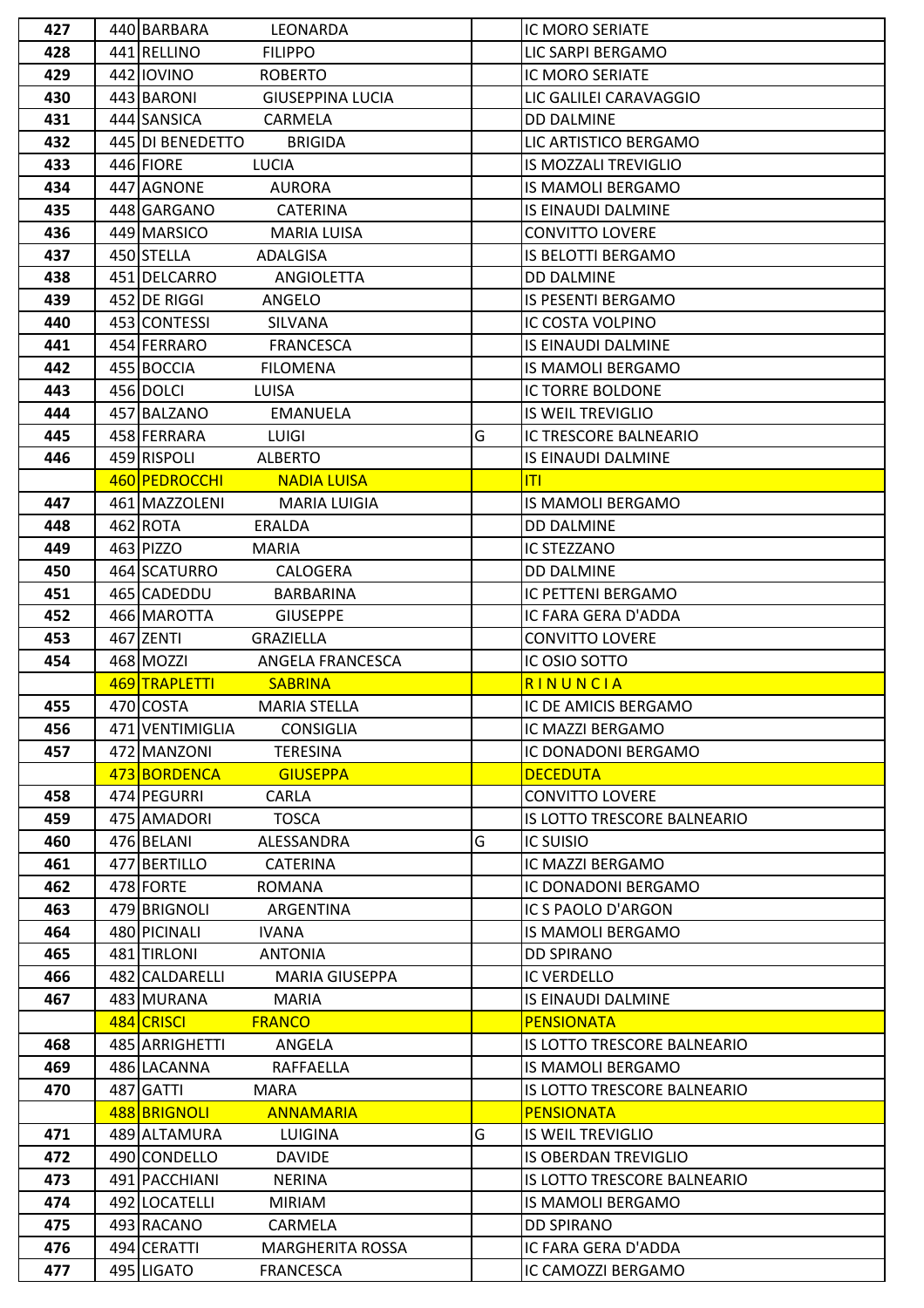| 427 | 440 BARBARA<br>LEONARDA                |   | <b>IC MORO SERIATE</b>      |
|-----|----------------------------------------|---|-----------------------------|
| 428 | 441 RELLINO<br><b>FILIPPO</b>          |   | LIC SARPI BERGAMO           |
| 429 | 442 IOVINO<br><b>ROBERTO</b>           |   | IC MORO SERIATE             |
| 430 | 443 BARONI<br><b>GIUSEPPINA LUCIA</b>  |   | LIC GALILEI CARAVAGGIO      |
| 431 | 444 SANSICA<br>CARMELA                 |   | <b>DD DALMINE</b>           |
| 432 | 445 DI BENEDETTO<br><b>BRIGIDA</b>     |   | LIC ARTISTICO BERGAMO       |
| 433 | 446 FIORE<br><b>LUCIA</b>              |   | IS MOZZALI TREVIGLIO        |
| 434 | 447 AGNONE<br><b>AURORA</b>            |   | <b>IS MAMOLI BERGAMO</b>    |
| 435 | 448 GARGANO<br><b>CATERINA</b>         |   | IS EINAUDI DALMINE          |
| 436 | 449 MARSICO<br><b>MARIA LUISA</b>      |   | <b>CONVITTO LOVERE</b>      |
| 437 | 450 STELLA<br>ADALGISA                 |   | IS BELOTTI BERGAMO          |
| 438 | 451 DELCARRO<br>ANGIOLETTA             |   | <b>DD DALMINE</b>           |
| 439 | 452 DE RIGGI<br>ANGELO                 |   | IS PESENTI BERGAMO          |
| 440 | 453 CONTESSI<br>SILVANA                |   | IC COSTA VOLPINO            |
| 441 | 454 FERRARO<br><b>FRANCESCA</b>        |   | IS EINAUDI DALMINE          |
| 442 | 455 BOCCIA<br><b>FILOMENA</b>          |   | IS MAMOLI BERGAMO           |
| 443 | 456 DOLCI<br>LUISA                     |   | IC TORRE BOLDONE            |
| 444 | 457 BALZANO<br><b>EMANUELA</b>         |   | <b>IS WEIL TREVIGLIO</b>    |
| 445 | 458 FERRARA<br><b>LUIGI</b>            | G | IC TRESCORE BALNEARIO       |
| 446 | 459 RISPOLI<br><b>ALBERTO</b>          |   | IS EINAUDI DALMINE          |
|     | 460 PEDROCCHI<br><b>NADIA LUISA</b>    |   | ΙTΙ                         |
| 447 | 461 MAZZOLENI<br><b>MARIA LUIGIA</b>   |   | IS MAMOLI BERGAMO           |
| 448 | 462 ROTA<br>ERALDA                     |   | <b>DD DALMINE</b>           |
| 449 | 463 PIZZO<br><b>MARIA</b>              |   | IC STEZZANO                 |
| 450 | 464 SCATURRO<br>CALOGERA               |   | <b>DD DALMINE</b>           |
| 451 | 465 CADEDDU<br>BARBARINA               |   | IC PETTENI BERGAMO          |
| 452 | 466 MAROTTA<br><b>GIUSEPPE</b>         |   | IC FARA GERA D'ADDA         |
| 453 | 467 ZENTI<br><b>GRAZIELLA</b>          |   | <b>CONVITTO LOVERE</b>      |
| 454 | 468 MOZZI<br>ANGELA FRANCESCA          |   | IC OSIO SOTTO               |
|     | 469 TRAPLETTI<br><b>SABRINA</b>        |   | RINUNCIA                    |
| 455 | 470 COSTA<br><b>MARIA STELLA</b>       |   | IC DE AMICIS BERGAMO        |
| 456 | 471 VENTIMIGLIA<br><b>CONSIGLIA</b>    |   | IC MAZZI BERGAMO            |
| 457 | 472 MANZONI<br><b>TERESINA</b>         |   | IC DONADONI BERGAMO         |
|     | 473 BORDENCA<br><b>GIUSEPPA</b>        |   | <b>DECEDUTA</b>             |
| 458 | 474 PEGURRI<br>CARLA                   |   | CONVITTO LOVERE             |
| 459 | 475 AMADORI<br><b>TOSCA</b>            |   | IS LOTTO TRESCORE BALNEARIO |
| 460 | 476 BELANI<br>ALESSANDRA               | G | <b>IC SUISIO</b>            |
| 461 | 477 BERTILLO<br><b>CATERINA</b>        |   | IC MAZZI BERGAMO            |
| 462 | 478 FORTE<br>ROMANA                    |   | IC DONADONI BERGAMO         |
| 463 | 479 BRIGNOLI<br>ARGENTINA              |   | IC S PAOLO D'ARGON          |
| 464 | 480 PICINALI<br><b>IVANA</b>           |   | IS MAMOLI BERGAMO           |
| 465 | 481 TIRLONI<br><b>ANTONIA</b>          |   | <b>DD SPIRANO</b>           |
| 466 | 482 CALDARELLI<br>MARIA GIUSEPPA       |   | <b>IC VERDELLO</b>          |
| 467 | 483 MURANA<br><b>MARIA</b>             |   | IS EINAUDI DALMINE          |
|     | 484 CRISCI<br><b>FRANCO</b>            |   | <b>PENSIONATA</b>           |
| 468 | 485 ARRIGHETTI<br>ANGELA               |   | IS LOTTO TRESCORE BALNEARIO |
| 469 | 486 LACANNA<br>RAFFAELLA               |   | IS MAMOLI BERGAMO           |
| 470 | 487 GATTI<br><b>MARA</b>               |   | IS LOTTO TRESCORE BALNEARIO |
|     | 488 BRIGNOLI<br><b>ANNAMARIA</b>       |   | <b>PENSIONATA</b>           |
| 471 | 489 ALTAMURA<br>LUIGINA                | G | <b>IS WEIL TREVIGLIO</b>    |
| 472 | 490 CONDELLO<br><b>DAVIDE</b>          |   | <b>IS OBERDAN TREVIGLIO</b> |
| 473 | 491 PACCHIANI<br><b>NERINA</b>         |   | IS LOTTO TRESCORE BALNEARIO |
| 474 | 492 LOCATELLI<br><b>MIRIAM</b>         |   | IS MAMOLI BERGAMO           |
| 475 | 493 RACANO<br>CARMELA                  |   | <b>DD SPIRANO</b>           |
| 476 | 494 CERATTI<br><b>MARGHERITA ROSSA</b> |   | IC FARA GERA D'ADDA         |
|     | 495 LIGATO                             |   | IC CAMOZZI BERGAMO          |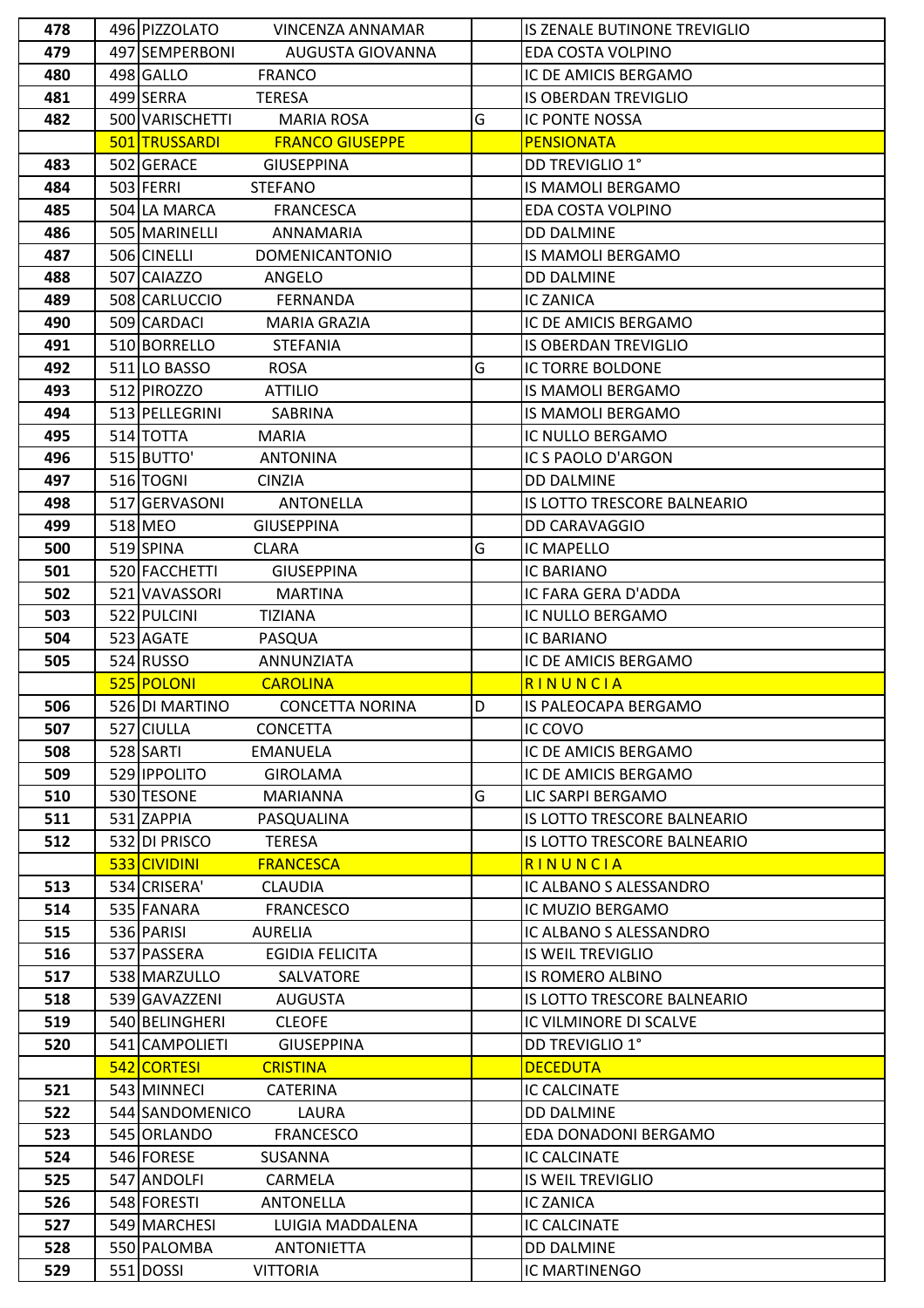| 478 | 496 PIZZOLATO<br><b>VINCENZA ANNAMAR</b>                 |   | IS ZENALE BUTINONE TREVIGLIO     |
|-----|----------------------------------------------------------|---|----------------------------------|
| 479 | 497 SEMPERBONI<br>AUGUSTA GIOVANNA                       |   | EDA COSTA VOLPINO                |
| 480 | 498 GALLO<br><b>FRANCO</b>                               |   | IC DE AMICIS BERGAMO             |
| 481 | 499 SERRA<br><b>TERESA</b>                               |   | <b>IS OBERDAN TREVIGLIO</b>      |
| 482 | 500 VARISCHETTI<br><b>MARIA ROSA</b>                     | G | IC PONTE NOSSA                   |
|     | 501 TRUSSARDI<br><b>FRANCO GIUSEPPE</b>                  |   | <b>PENSIONATA</b>                |
| 483 | 502 GERACE<br><b>GIUSEPPINA</b>                          |   | DD TREVIGLIO 1°                  |
| 484 | 503 FERRI<br><b>STEFANO</b>                              |   | IS MAMOLI BERGAMO                |
| 485 | 504 LA MARCA<br><b>FRANCESCA</b>                         |   | EDA COSTA VOLPINO                |
| 486 | 505 MARINELLI<br>ANNAMARIA                               |   | <b>DD DALMINE</b>                |
| 487 | 506 CINELLI<br><b>DOMENICANTONIO</b>                     |   | <b>IS MAMOLI BERGAMO</b>         |
| 488 | 507 CAIAZZO<br>ANGELO                                    |   | <b>DD DALMINE</b>                |
| 489 | 508 CARLUCCIO<br><b>FERNANDA</b>                         |   | <b>IC ZANICA</b>                 |
| 490 | 509 CARDACI<br>MARIA GRAZIA                              |   | IC DE AMICIS BERGAMO             |
| 491 | 510 BORRELLO<br><b>STEFANIA</b>                          |   | <b>IS OBERDAN TREVIGLIO</b>      |
| 492 | 511 LO BASSO<br><b>ROSA</b>                              | G | <b>IC TORRE BOLDONE</b>          |
| 493 | 512 PIROZZO<br><b>ATTILIO</b>                            |   | <b>IS MAMOLI BERGAMO</b>         |
| 494 | 513 PELLEGRINI<br>SABRINA                                |   | <b>IS MAMOLI BERGAMO</b>         |
| 495 | 514 TOTTA<br><b>MARIA</b>                                |   | IC NULLO BERGAMO                 |
| 496 | 515 BUTTO'<br><b>ANTONINA</b>                            |   | IC S PAOLO D'ARGON               |
| 497 | 516 TOGNI<br><b>CINZIA</b>                               |   | <b>DD DALMINE</b>                |
| 498 | 517 GERVASONI<br><b>ANTONELLA</b>                        |   | IS LOTTO TRESCORE BALNEARIO      |
| 499 | 518 MEO<br><b>GIUSEPPINA</b>                             |   | DD CARAVAGGIO                    |
| 500 | 519 SPINA<br><b>CLARA</b>                                | G | IC MAPELLO                       |
| 501 | 520 FACCHETTI<br><b>GIUSEPPINA</b>                       |   | IC BARIANO                       |
| 502 | 521 VAVASSORI<br><b>MARTINA</b>                          |   | IC FARA GERA D'ADDA              |
| 503 | 522 PULCINI<br><b>TIZIANA</b>                            |   | IC NULLO BERGAMO                 |
| 504 | 523 AGATE<br>PASQUA                                      |   | <b>IC BARIANO</b>                |
|     |                                                          |   |                                  |
|     |                                                          |   |                                  |
| 505 | 524 RUSSO<br>ANNUNZIATA<br>525 POLONI<br><b>CAROLINA</b> |   | IC DE AMICIS BERGAMO<br>RINUNCIA |
| 506 | 526 DI MARTINO<br><b>CONCETTA NORINA</b>                 | D | IS PALEOCAPA BERGAMO             |
| 507 | 527 CIULLA<br><b>CONCETTA</b>                            |   | IC COVO                          |
| 508 | 528 SARTI<br><b>EMANUELA</b>                             |   | IC DE AMICIS BERGAMO             |
| 509 | 529 <b>IPPOLITO</b><br><b>GIROLAMA</b>                   |   | IC DE AMICIS BERGAMO             |
| 510 | 530 TESONE<br>MARIANNA                                   | G | LIC SARPI BERGAMO                |
| 511 | 531 ZAPPIA<br>PASQUALINA                                 |   | IS LOTTO TRESCORE BALNEARIO      |
| 512 | 532 DI PRISCO<br><b>TERESA</b>                           |   | IS LOTTO TRESCORE BALNEARIO      |
|     | 533 CIVIDINI<br><b>FRANCESCA</b>                         |   | RINUNCIA                         |
| 513 | 534 CRISERA'<br><b>CLAUDIA</b>                           |   | IC ALBANO S ALESSANDRO           |
| 514 | 535 FANARA<br><b>FRANCESCO</b>                           |   | IC MUZIO BERGAMO                 |
| 515 | 536 PARISI<br><b>AURELIA</b>                             |   | IC ALBANO S ALESSANDRO           |
| 516 | 537 PASSERA<br><b>EGIDIA FELICITA</b>                    |   | <b>IS WEIL TREVIGLIO</b>         |
| 517 | 538 MARZULLO<br>SALVATORE                                |   | IS ROMERO ALBINO                 |
| 518 | 539 GAVAZZENI<br><b>AUGUSTA</b>                          |   | IS LOTTO TRESCORE BALNEARIO      |
| 519 | 540 BELINGHERI<br><b>CLEOFE</b>                          |   | IC VILMINORE DI SCALVE           |
| 520 | 541 CAMPOLIETI<br><b>GIUSEPPINA</b>                      |   | DD TREVIGLIO 1°                  |
|     | 542 CORTESI<br><b>CRISTINA</b>                           |   | <b>DECEDUTA</b>                  |
| 521 | 543 MINNECI<br><b>CATERINA</b>                           |   | IC CALCINATE                     |
| 522 | 544 SANDOMENICO<br>LAURA                                 |   | <b>DD DALMINE</b>                |
| 523 | 545 ORLANDO<br><b>FRANCESCO</b>                          |   | EDA DONADONI BERGAMO             |
| 524 | 546 FORESE<br>SUSANNA                                    |   | IC CALCINATE                     |
| 525 | 547 ANDOLFI<br>CARMELA                                   |   | <b>IS WEIL TREVIGLIO</b>         |
| 526 | 548 FORESTI<br><b>ANTONELLA</b>                          |   | <b>IC ZANICA</b>                 |
| 527 | 549 MARCHESI<br>LUIGIA MADDALENA                         |   | IC CALCINATE                     |
| 528 | 550 PALOMBA<br><b>ANTONIETTA</b>                         |   | <b>DD DALMINE</b>                |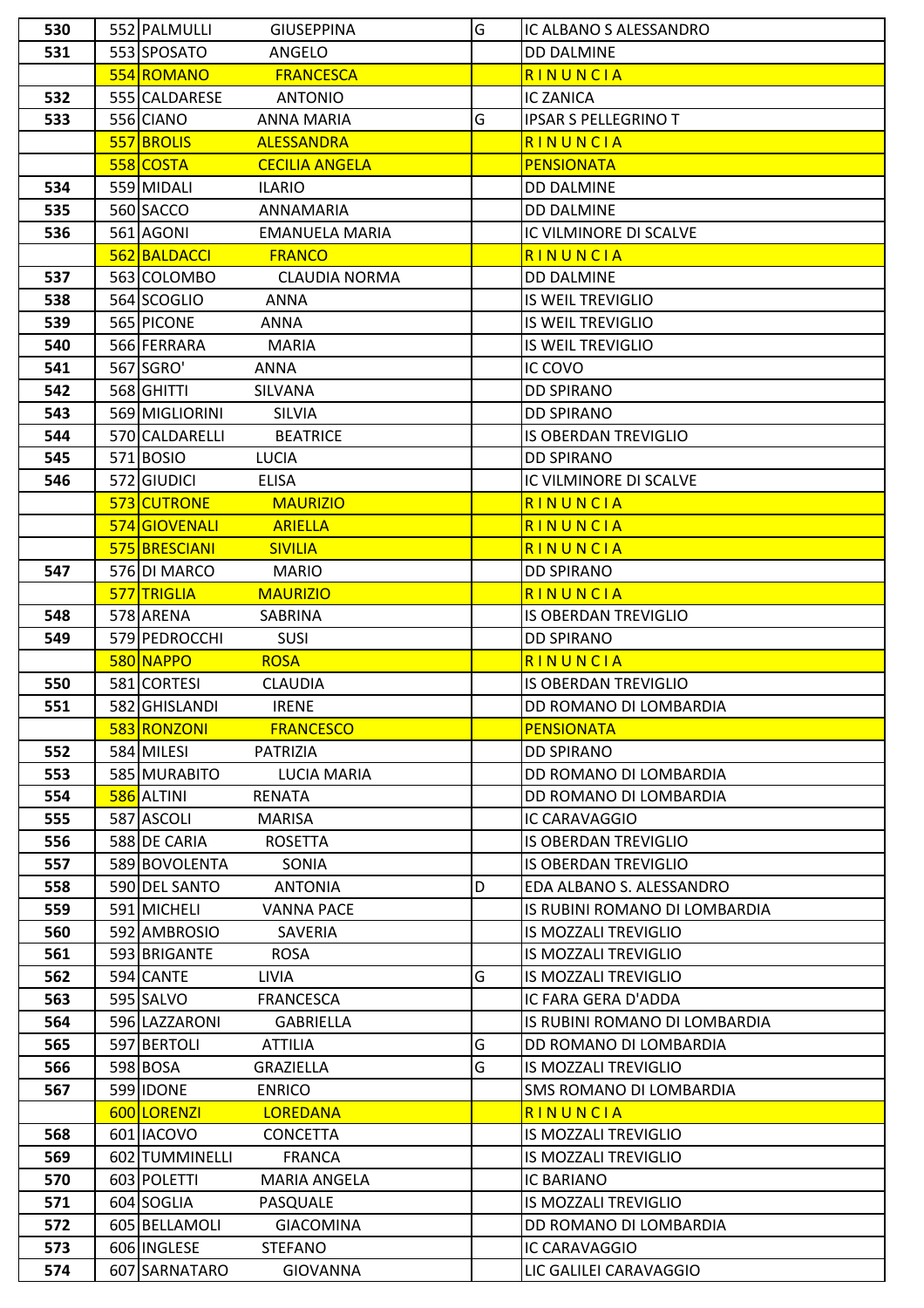| 530        | 552 PALMULLI<br><b>GIUSEPPINA</b>                                 | G | IC ALBANO S ALESSANDRO                  |
|------------|-------------------------------------------------------------------|---|-----------------------------------------|
| 531        | 553 SPOSATO<br>ANGELO                                             |   | <b>DD DALMINE</b>                       |
|            | 554 ROMANO<br><b>FRANCESCA</b>                                    |   | RINUNCIA                                |
| 532        | 555 CALDARESE<br><b>ANTONIO</b>                                   |   | <b>IC ZANICA</b>                        |
| 533        | 556 CIANO<br><b>ANNA MARIA</b>                                    | G | <b>IPSAR S PELLEGRINO T</b>             |
|            | 557 BROLIS<br><b>ALESSANDRA</b>                                   |   | RINUNCIA                                |
|            | 558 COSTA<br><b>CECILIA ANGELA</b>                                |   | <b>PENSIONATA</b>                       |
| 534        | 559 MIDALI<br><b>ILARIO</b>                                       |   | <b>DD DALMINE</b>                       |
| 535        | 560 SACCO<br>ANNAMARIA                                            |   | <b>DD DALMINE</b>                       |
| 536        | 561 AGONI<br><b>EMANUELA MARIA</b>                                |   | IC VILMINORE DI SCALVE                  |
|            | 562 BALDACCI<br><b>FRANCO</b>                                     |   | RINUNCIA                                |
| 537        | 563 COLOMBO<br><b>CLAUDIA NORMA</b>                               |   | <b>DD DALMINE</b>                       |
| 538        | 564 SCOGLIO<br><b>ANNA</b>                                        |   | <b>IS WEIL TREVIGLIO</b>                |
| 539        | 565 PICONE<br><b>ANNA</b>                                         |   | <b>IS WEIL TREVIGLIO</b>                |
| 540        | 566 FERRARA<br><b>MARIA</b>                                       |   | <b>IS WEIL TREVIGLIO</b>                |
| 541        | 567 SGRO'<br><b>ANNA</b>                                          |   | IC COVO                                 |
| 542        | 568 GHITTI<br>SILVANA                                             |   | <b>DD SPIRANO</b>                       |
| 543        | 569 MIGLIORINI<br>SILVIA                                          |   | <b>DD SPIRANO</b>                       |
| 544        | 570 CALDARELLI<br><b>BEATRICE</b>                                 |   | <b>IS OBERDAN TREVIGLIO</b>             |
| 545        | 571 BOSIO<br><b>LUCIA</b>                                         |   | <b>DD SPIRANO</b>                       |
| 546        | 572 GIUDICI<br><b>ELISA</b>                                       |   | IC VILMINORE DI SCALVE                  |
|            | 573 CUTRONE<br><b>MAURIZIO</b>                                    |   | RINUNCIA                                |
|            | 574 GIOVENALI<br><b>ARIELLA</b>                                   |   | RINUNCIA                                |
|            | 575 BRESCIANI<br><b>SIVILIA</b>                                   |   | RINUNCIA                                |
| 547        | 576 DI MARCO<br><b>MARIO</b>                                      |   | <b>DD SPIRANO</b>                       |
|            | 577 TRIGLIA<br><b>MAURIZIO</b>                                    |   | RINUNCIA                                |
| 548        | 578 ARENA<br>SABRINA                                              |   | <b>IS OBERDAN TREVIGLIO</b>             |
| 549        | 579 PEDROCCHI<br><b>SUSI</b>                                      |   | <b>DD SPIRANO</b>                       |
|            | 580 NAPPO<br><b>ROSA</b>                                          |   | RINUNCIA                                |
| 550        | 581 CORTESI<br><b>CLAUDIA</b>                                     |   | <b>IS OBERDAN TREVIGLIO</b>             |
|            |                                                                   |   |                                         |
| 551        | 582 GHISLANDI<br><b>IRENE</b>                                     |   | DD ROMANO DI LOMBARDIA                  |
|            | 583 RONZONI<br><b>FRANCESCO</b>                                   |   | <b>PENSIONATA</b>                       |
| 552        | 584 MILESI<br>PATRIZIA                                            |   | <b>DD SPIRANO</b>                       |
| 553        | 585 MURABITO<br>LUCIA MARIA                                       |   | DD ROMANO DI LOMBARDIA                  |
| 554        | 586 ALTINI<br><b>RENATA</b>                                       |   | DD ROMANO DI LOMBARDIA                  |
| 555        | 587 ASCOLI<br><b>MARISA</b>                                       |   | IC CARAVAGGIO                           |
| 556        | 588 DE CARIA<br><b>ROSETTA</b>                                    |   | <b>IS OBERDAN TREVIGLIO</b>             |
| 557        | 589 BOVOLENTA<br>SONIA                                            |   | <b>IS OBERDAN TREVIGLIO</b>             |
| 558        | 590 DEL SANTO<br><b>ANTONIA</b>                                   | D | EDA ALBANO S. ALESSANDRO                |
| 559        | 591 MICHELI<br><b>VANNA PACE</b>                                  |   | IS RUBINI ROMANO DI LOMBARDIA           |
| 560        | 592 AMBROSIO<br>SAVERIA                                           |   | <b>IS MOZZALI TREVIGLIO</b>             |
| 561        | 593 BRIGANTE<br><b>ROSA</b>                                       |   | <b>IS MOZZALI TREVIGLIO</b>             |
| 562        | 594 CANTE<br><b>LIVIA</b>                                         | G | IS MOZZALI TREVIGLIO                    |
| 563        | 595 SALVO<br><b>FRANCESCA</b>                                     |   | IC FARA GERA D'ADDA                     |
| 564        | 596 LAZZARONI<br><b>GABRIELLA</b>                                 |   | IS RUBINI ROMANO DI LOMBARDIA           |
| 565        | 597 BERTOLI<br><b>ATTILIA</b>                                     | G | DD ROMANO DI LOMBARDIA                  |
| 566        | 598 BOSA<br>GRAZIELLA                                             | G | <b>IS MOZZALI TREVIGLIO</b>             |
| 567        | 599 IDONE<br><b>ENRICO</b>                                        |   | SMS ROMANO DI LOMBARDIA                 |
|            | 600 LORENZI<br><b>LOREDANA</b>                                    |   | RINUNCIA                                |
| 568        | 601 IACOVO<br><b>CONCETTA</b>                                     |   | IS MOZZALI TREVIGLIO                    |
| 569        | 602 TUMMINELLI<br><b>FRANCA</b>                                   |   | IS MOZZALI TREVIGLIO                    |
| 570        | 603 POLETTI<br><b>MARIA ANGELA</b>                                |   | IC BARIANO                              |
| 571        | 604 SOGLIA<br>PASQUALE                                            |   | <b>IS MOZZALI TREVIGLIO</b>             |
| 572        | 605 BELLAMOLI<br><b>GIACOMINA</b>                                 |   | DD ROMANO DI LOMBARDIA                  |
| 573<br>574 | 606 INGLESE<br><b>STEFANO</b><br>607 SARNATARO<br><b>GIOVANNA</b> |   | IC CARAVAGGIO<br>LIC GALILEI CARAVAGGIO |